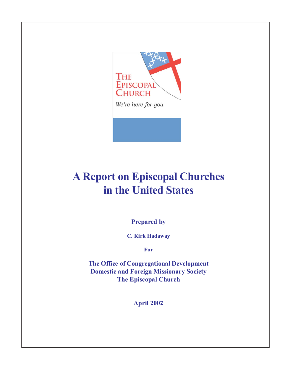

## **A Report on Episcopal Churches in the United States**

**Prepared by**

**C. Kirk Hadaway**

**For**

**The Office of Congregational Development Domestic and Foreign Missionary Society The Episcopal Church**

**April 2002**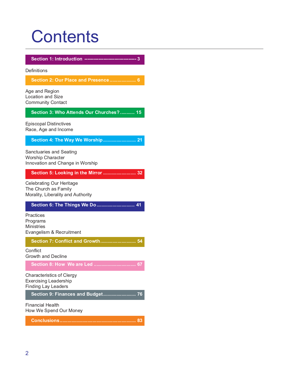# **Contents**

**Section 1: Introduction --------------------------------- 3**

**Definitions** 

**Section 2: Our Place and Presence .................... 6**

Age and Region Location and Size Community Contact

#### **Section 3: Who Attends Our Churches? ........... 15**

Episcopal Distinctives Race, Age and Income

#### **Section 4: The Way We Worship......................... 21**

Sanctuaries and Seating Worship Character Innovation and Change in Worship

#### **Section 5: Looking in the Mirror ......................... 32**

Celebrating Our Heritage The Church as Family Morality, Liberality and Authority

#### **Section 6: The Things We Do............................. 41**

**Practices** Programs **Ministries** Evangelism & Recruitment

**Section 7: Conflict and Growth........................... 54**

**Conflict** Growth and Decline

**Section 8: How We are Led ................................ 67**

Characteristics of Clergy Exercising Leadership Finding Lay Leaders

**Section 9: Finances and Budget......................... 76**

Financial Health How We Spend Our Money

**Conclusions.......................................................... 83**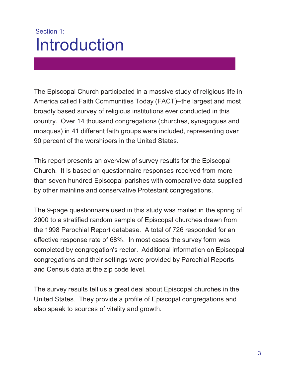## Section 1: Introduction

The Episcopal Church participated in a massive study of religious life in America called Faith Communities Today (FACT)--the largest and most broadly based survey of religious institutions ever conducted in this country. Over 14 thousand congregations (churches, synagogues and mosques) in 41 different faith groups were included, representing over 90 percent of the worshipers in the United States.

This report presents an overview of survey results for the Episcopal Church. It is based on questionnaire responses received from more than seven hundred Episcopal parishes with comparative data supplied by other mainline and conservative Protestant congregations.

The 9-page questionnaire used in this study was mailed in the spring of 2000 to a stratified random sample of Episcopal churches drawn from the 1998 Parochial Report database. A total of 726 responded for an effective response rate of 68%. In most cases the survey form was completed by congregation's rector. Additional information on Episcopal congregations and their settings were provided by Parochial Reports and Census data at the zip code level.

The survey results tell us a great deal about Episcopal churches in the United States. They provide a profile of Episcopal congregations and also speak to sources of vitality and growth.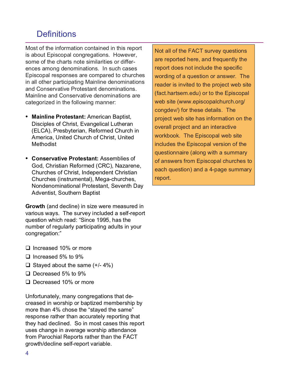## **Definitions**

Most of the information contained in this report is about Episcopal congregations. However, some of the charts note similarities or differences among denominations. In such cases Episcopal responses are compared to churches in all other participating Mainline denominations and Conservative Protestant denominations. Mainline and Conservative denominations are categorized in the following manner:

- **• Mainline Protestant:** American Baptist, Disciples of Christ, Evangelical Lutheran (ELCA), Presbyterian, Reformed Church in America, United Church of Christ, United **Methodist**
- **• Conservative Protestant:** Assemblies of God, Christian Reformed (CRC), Nazarene, Churches of Christ, Independent Christian Churches (instrumental), Mega-churches, Nondenominational Protestant, Seventh Day Adventist, Southern Baptist

**Growth** (and decline) in size were measured in various ways. The survey included a self-report question which read: "Since 1995, has the number of regularly participating adults in your congregation:"

- □ Increased 10% or more
- $\Box$  Increased 5% to 9%
- $\Box$  Stayed about the same (+/- 4%)
- □ Decreased 5% to 9%
- □ Decreased 10% or more

Unfortunately, many congregations that decreased in worship or baptized membership by more than 4% chose the "stayed the same" response rather than accurately reporting that they had declined. So in most cases this report uses change in average worship attendance from Parochial Reports rather than the FACT growth/decline self-report variable.

Not all of the FACT survey questions are reported here, and frequently the report does not include the specific wording of a question or answer. The reader is invited to the project web site (fact.hartsem.edu) or to the Episcopal web site (www.episcopalchurch.org/ congdev/) for these details. The project web site has information on the overall project and an interactive workbook. The Episcopal web site includes the Episcopal version of the questionnaire (along with a summary of answers from Episcopal churches to each question) and a 4-page summary report.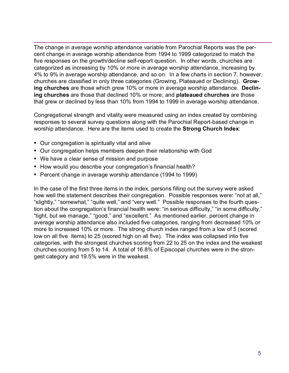The change in average worship attendance variable from Parochial Reports was the percent change in average worship attendance from 1994 to 1999 categorized to match the five responses on the growth/decline self-report question. In other words, churches are categorized as increasing by 10% or more in average worship attendance, increasing by 4% to 9% in average worship attendance, and so on. In a few charts in section 7, however, churches are classified in only three categories (Growing, Plateaued or Declining). **Growing churches** are those which grew 10% or more in average worship attendance. **Declining churches** are those that declined 10% or more; and **plateaued churches** are those that grew or declined by less than 10% from 1994 to 1999 in average worship attendance.

Congregational strength and vitality were measured using an index created by combining responses to several survey questions along with the Parochial Report-based change in worship attendance. Here are the items used to create the **Strong Church Index**:

- **•** Our congregation is spiritually vital and alive
- **•** Our congregation helps members deepen their relationship with God
- **•** We have a clear sense of mission and purpose
- **•** How would you describe your congregation's financial health?
- **•** Percent change in average worship attendance (1994 to 1999)

In the case of the first three items in the index, persons filling out the survey were asked how well the statement describes their congregation. Possible responses were: "not at all," "slightly," "somewhat," "quite well," and "very well." Possible responses to the fourth question about the congregation's financial health were: "in serious difficulty," "in some difficulty," "tight, but we manage," "good," and "excellent." As mentioned earlier, percent change in average worship attendance also included five categories, ranging from decreased 10% or more to increased 10% or more. The strong church index ranged from a low of 5 (scored low on all five items) to 25 (scored high on all five). The index was collapsed into five categories, with the strongest churches scoring from 22 to 25 on the index and the weakest churches scoring from 5 to 14. A total of 16.8% of Episcopal churches were in the strongest category and 19.5% were in the weakest.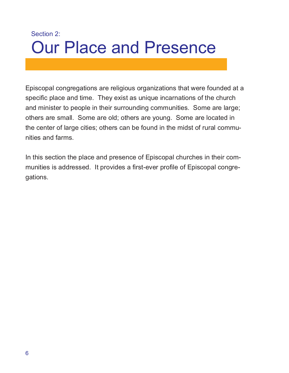## Section 2: Our Place and Presence

Episcopal congregations are religious organizations that were founded at a specific place and time. They exist as unique incarnations of the church and minister to people in their surrounding communities. Some are large; others are small. Some are old; others are young. Some are located in the center of large cities; others can be found in the midst of rural communities and farms.

In this section the place and presence of Episcopal churches in their communities is addressed. It provides a first-ever profile of Episcopal congregations.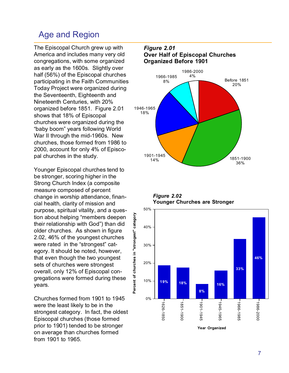### Age and Region

The Episcopal Church grew up with America and includes many very old congregations, with some organized as early as the 1600s. Slightly over half (56%) of the Episcopal churches participating in the Faith Communities Today Project were organized during the Seventeenth, Eighteenth and Nineteenth Centuries, with 20% organized before 1851. Figure 2.01 shows that 18% of Episcopal churches were organized during the "baby boom" years following World War II through the mid-1960s. New churches, those formed from 1986 to 2000, account for only 4% of Episcopal churches in the study.

Younger Episcopal churches tend to be stronger, scoring higher in the Strong Church Index (a composite measure composed of percent change in worship attendance, financial health, clarity of mission and purpose, spiritual vitality, and a question about helping "members deepen their relationship with God") than did older churches. As shown in figure 2.02, 46% of the youngest churches were rated in the "strongest" category. It should be noted, however, that even though the two youngest sets of churches were strongest overall, only 12% of Episcopal congregations were formed during these years.

**Percent of churches in "strongest" category**

Churches formed from 1901 to 1945 were the least likely to be in the strongest category. In fact, the oldest Episcopal churches (those formed prior to 1901) tended to be stronger on average than churches formed from 1901 to 1965.

#### *Figure 2.01* **Over Half of Episcopal Churches Organized Before 1901** Before 1851 20% 1851-1900 36% 1901-1945 14% 1946-1965 18% 1966-1985 8% 1986-2000 4%

*Figure 2.02* **Younger Churches are Stronger**

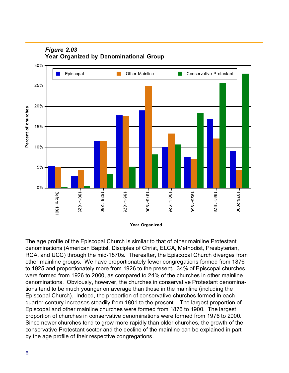

#### *Figure 2.03* **Year Organized by Denominational Group**

**Year Organized**

The age profile of the Episcopal Church is similar to that of other mainline Protestant denominations (American Baptist, Disciples of Christ, ELCA, Methodist, Presbyterian, RCA, and UCC) through the mid-1870s. Thereafter, the Episcopal Church diverges from other mainline groups. We have proportionately fewer congregations formed from 1876 to 1925 and proportionately more from 1926 to the present. 34% of Episcopal churches were formed from 1926 to 2000, as compared to 24% of the churches in other mainline denominations. Obviously, however, the churches in conservative Protestant denominations tend to be much younger on average than those in the mainline (including the Episcopal Church). Indeed, the proportion of conservative churches formed in each quarter-century increases steadily from 1801 to the present. The largest proportion of Episcopal and other mainline churches were formed from 1876 to 1900. The largest proportion of churches in conservative denominations were formed from 1976 to 2000. Since newer churches tend to grow more rapidly than older churches, the growth of the conservative Protestant sector and the decline of the mainline can be explained in part by the age profile of their respective congregations.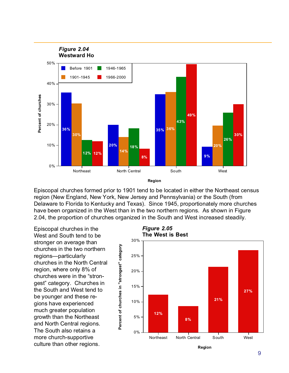

Episcopal churches formed prior to 1901 tend to be located in either the Northeast census region (New England, New York, New Jersey and Pennsylvania) or the South (from Delaware to Florida to Kentucky and Texas). Since 1945, proportionately more churches have been organized in the West than in the two northern regions. As shown in Figure 2.04, the proportion of churches organized in the South and West increased steadily.

Episcopal churches in the West and South tend to be stronger on average than churches in the two northern regions—particularly churches in the North Central region, where only 8% of churches were in the "strongest" category. Churches in the South and West tend to be younger and these regions have experienced much greater population growth than the Northeast and North Central regions. The South also retains a more church-supportive culture than other regions.

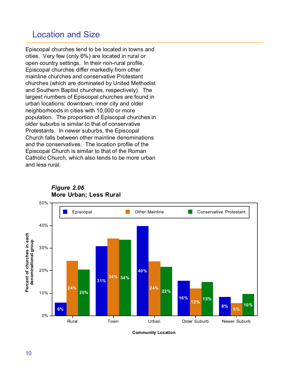### Location and Size

Episcopal churches tend to be located in towns and cities. Very few (only 6%) are located in rural or open country settings. In their non-rural profile, Episcopal churches differ markedly from other mainline churches and conservative Protestant churches (which are dominated by United Methodist and Southern Baptist churches, respectively). The largest numbers of Episcopal churches are found in urban locations: downtown, inner city and older neighborhoods in cities with 10,000 or more population. The proportion of Episcopal churches in older suburbs is similar to that of conservative Protestants. In newer suburbs, the Episcopal Church falls between other mainline denominations and the conservatives. The location profile of the Episcopal Church is similar to that of the Roman Catholic Church, which also tends to be more urban and less rural.



*Figure 2.06* **More Urban; Less Rural**

**Community Location**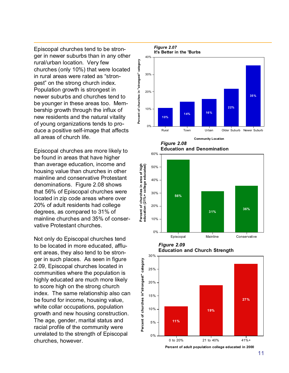Episcopal churches tend to be stronger in newer suburbs than in any other rural/urban location. Very few churches (only 10%) that were located in rural areas were rated as "strongest" on the strong church index. Population growth is strongest in newer suburbs and churches tend to be younger in these areas too. Membership growth through the influx of new residents and the natural vitality of young organizations tends to produce a positive self-image that affects all areas of church life.

Episcopal churches are more likely to be found in areas that have higher than average education, income and housing value than churches in other mainline and conservative Protestant denominations. Figure 2.08 shows that 56% of Episcopal churches were located in zip code areas where over 20% of adult residents had college degrees, as compared to 31% of mainline churches and 35% of conservative Protestant churches.

Not only do Episcopal churches tend to be located in more educated, affluent areas, they also tend to be stronger in such places. As seen in figure 2.09, Episcopal churches located in communities where the population is highly educated are much more likely to score high on the strong church index. The same relationship also can be found for income, housing value, white collar occupations, population growth and new housing construction. The age, gender, marital status and racial profile of the community were unrelated to the strength of Episcopal churches, however.





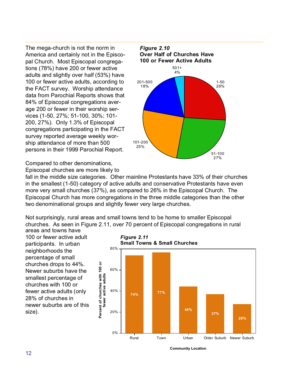The mega-church is not the norm in America and certainly not in the Episcopal Church. Most Episcopal congregations (78%) have 200 or fewer active adults and slightly over half (53%) have 100 or fewer active adults, according to the FACT survey. Worship attendance data from Parochial Reports shows that 84% of Episcopal congregations average 200 or fewer in their worship services (1-50, 27%; 51-100, 30%; 101- 200, 27%). Only 1.3% of Episcopal congregations participating in the FACT survey reported average weekly worship attendance of more than 500 persons in their 1999 Parochial Report.



Compared to other denominations,

Episcopal churches are more likely to

fall in the middle size categories. Other mainline Protestants have 33% of their churches in the smallest (1-50) category of active adults and conservative Protestants have even more very small churches (37%), as compared to 26% in the Episcopal Church. The Episcopal Church has more congregations in the three middle categories than the other two denominational groups and slightly fewer very large churches.

Not surprisingly, rural areas and small towns tend to be home to smaller Episcopal churches. As seen in Figure 2.11, over 70 percent of Episcopal congregations in rural areas and towns have

100 or fewer active adult participants. In urban neighborhoods the percentage of small churches drops to 44%. Newer suburbs have the smallest percentage of churches with 100 or fewer active adults (only 28% of churches in newer suburbs are of this size).

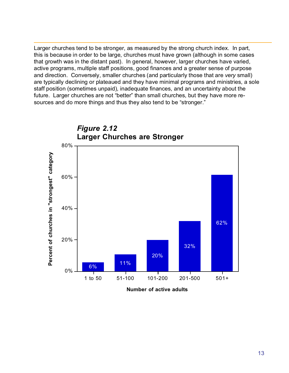Larger churches tend to be stronger, as measured by the strong church index. In part, this is because in order to be large, churches must have grown (although in some cases that growth was in the distant past). In general, however, larger churches have varied, active programs, multiple staff positions, good finances and a greater sense of purpose and direction. Conversely, smaller churches (and particularly those that are *very* small) are typically declining or plateaued and they have minimal programs and ministries, a sole staff position (sometimes unpaid), inadequate finances, and an uncertainty about the future. Larger churches are not "better" than small churches, but they have more resources and do more things and thus they also tend to be "stronger."



**Number of active adults**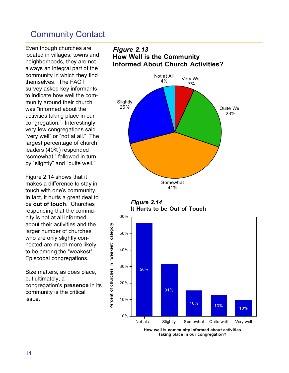### Community Contact

Even though churches are located in villages, towns and neighborhoods, they are not always an integral part of the community in which they find themselves. The FACT survey asked key informants to indicate how well the community around their church was "informed about the activities taking place in our congregation." Interestingly, very few congregations said "very well" or "not at all." The largest percentage of church leaders (40%) responded "somewhat," followed in turn by "slightly" and "quite well."

Figure 2.14 shows that it makes a difference to stay in touch with one's community. In fact, it hurts a great deal to be **out of touch**. Churches responding that the community is not at all informed about their activities and the larger number of churches who are only slightly connected are much more likely to be among the "weakest" Episcopal congregations.

Size matters, as does place, but ultimately, a congregation's **presence** in its community is the critical issue.

**Percent of churches in "weakest" category** 

Percent of churches in "weakest" category

#### *Figure 2.13* **How Well is the Community Informed About Church Activities?**



*Figure 2.14* **It Hurts to be Out of Touch**



**How well is community informed about activities taking place in our congregation?**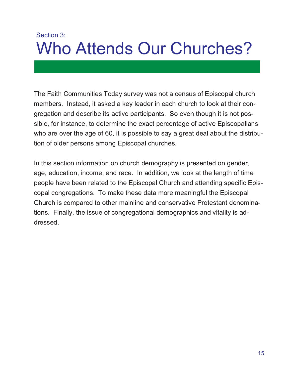## Section 3: Who Attends Our Churches?

The Faith Communities Today survey was not a census of Episcopal church members. Instead, it asked a key leader in each church to look at their congregation and describe its active participants. So even though it is not possible, for instance, to determine the exact percentage of active Episcopalians who are over the age of 60, it is possible to say a great deal about the distribution of older persons among Episcopal churches.

In this section information on church demography is presented on gender, age, education, income, and race. In addition, we look at the length of time people have been related to the Episcopal Church and attending specific Episcopal congregations. To make these data more meaningful the Episcopal Church is compared to other mainline and conservative Protestant denominations. Finally, the issue of congregational demographics and vitality is addressed.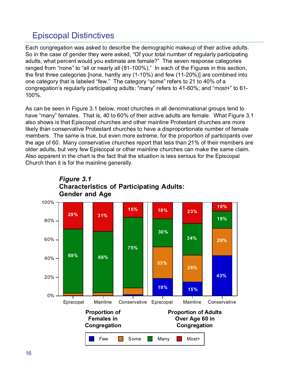## Episcopal Distinctives

Each congregation was asked to describe the demographic makeup of their active adults. So in the case of gender they were asked, "Of your total number of regularly participating adults, what percent would you estimate are female?" The seven response categories ranged from "none" to "all or nearly all (81-100%)." In each of the Figures in this section, the first three categories [none, hardly any (1-10%) and few (11-20%)] are combined into one category that is labeled "few." The category "some" refers to 21 to 40% of a congregation's regularly participating adults; "many" refers to 41-60%; and "most+" to 61- 100%.

As can be seen in Figure 3.1 below, most churches in all denominational groups tend to have "many" females. That is, 40 to 60% of their active adults are female. What Figure 3.1 also shows is that Episcopal churches and other mainline Protestant churches are more likely than conservative Protestant churches to have a disproportionate number of female members. The same is true, but even more extreme, for the proportion of participants over the age of 60. Many conservative churches report that less than 21% of their members are older adults, but very few Episcopal or other mainline churches can make the same claim. Also apparent in the chart is the fact that the situation is less serious for the Episcopal Church than it is for the mainline generally.



**Characteristics of Participating Adults:**

*Figure 3.1*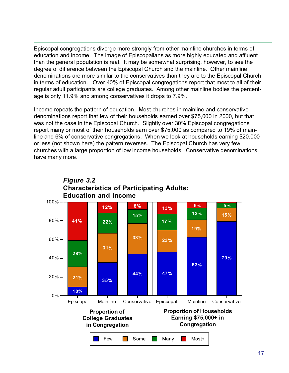Episcopal congregations diverge more strongly from other mainline churches in terms of education and income. The image of Episcopalians as more highly educated and affluent than the general population is real. It may be somewhat surprising, however, to see the degree of difference between the Episcopal Church and the mainline. Other mainline denominations are more similar to the conservatives than they are to the Episcopal Church in terms of education. Over 40% of Episcopal congregations report that most to all of their regular adult participants are college graduates. Among other mainline bodies the percentage is only 11.9% and among conservatives it drops to 7.9%.

Income repeats the pattern of education. Most churches in mainline and conservative denominations report that few of their households earned over \$75,000 in 2000, but that was not the case in the Episcopal Church. Slightly over 30% Episcopal congregations report many or most of their households earn over \$75,000 as compared to 19% of mainline and 6% of conservative congregations. When we look at households earning \$20,000 or less (not shown here) the pattern reverses. The Episcopal Church has very few churches with a large proportion of low income households. Conservative denominations have many more.

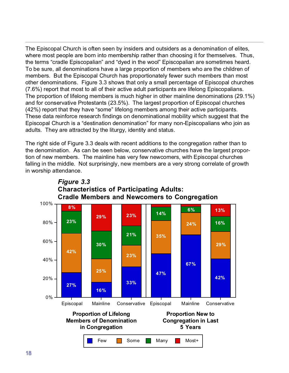The Episcopal Church is often seen by insiders and outsiders as a denomination of elites, where most people are born into membership rather than choosing it for themselves. Thus, the terms "cradle Episcopalian" and "dyed in the wool" Episcopalian are sometimes heard. To be sure, all denominations have a large proportion of members who are the children of members. But the Episcopal Church has proportionately fewer such members than most other denominations. Figure 3.3 shows that only a small percentage of Episcopal churches (7.6%) report that most to all of their active adult participants are lifelong Episcopalians. The proportion of lifelong members is much higher in other mainline denominations (29.1%) and for conservative Protestants (23.5%). The largest proportion of Episcopal churches (42%) report that they have "some" lifelong members among their active participants. These data reinforce research findings on denominational mobility which suggest that the Episcopal Church is a "destination denomination" for many non-Episcopalians who join as adults. They are attracted by the liturgy, identity and status.

The right side of Figure 3.3 deals with recent additions to the congregation rather than to the denomination. As can be seen below, conservative churches have the largest proportion of new members. The mainline has very few newcomers, with Episcopal churches falling in the middle. Not surprisingly, new members are a very strong correlate of growth in worship attendance.



## *Figure 3.3* **Characteristics of Participating Adults:**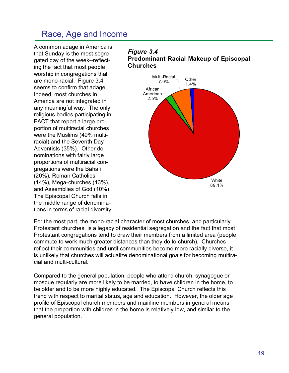## Race, Age and Income

A common adage in America is that Sunday is the most segregated day of the week--reflecting the fact that most people worship in congregations that are mono-racial. Figure 3.4 seems to confirm that adage. Indeed, most churches in America are not integrated in any meaningful way. The only religious bodies participating in FACT that report a large proportion of multiracial churches were the Muslims (49% multiracial) and the Seventh Day Adventists (35%). Other denominations with fairly large proportions of multiracial congregations were the Baha'i (20%), Roman Catholics (14%), Mega-churches (13%), and Assemblies of God (10%). The Episcopal Church falls in the middle range of denominations in terms of racial diversity.

#### *Figure 3.4* **Predominant Racial Makeup of Episcopal Churches**



For the most part, the mono-racial character of most churches, and particularly Protestant churches, is a legacy of residential segregation and the fact that most Protestant congregations tend to draw their members from a limited area (people commute to work much greater distances than they do to church). Churches reflect their communities and until communities become more racially diverse, it is unlikely that churches will actualize denominational goals for becoming multiracial and multi-cultural.

Compared to the general population, people who attend church, synagogue or mosque regularly are more likely to be married, to have children in the home, to be older and to be more highly educated. The Episcopal Church reflects this trend with respect to marital status, age and education. However, the older age profile of Episcopal church members and mainline members in general means that the proportion with children in the home is relatively low, and similar to the general population.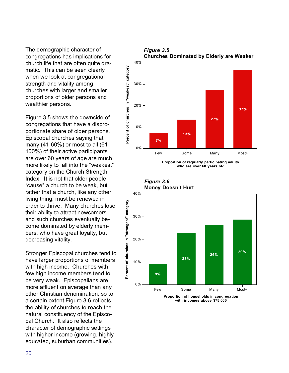The demographic character of congregations has implications for church life that are often quite dramatic. This can be seen clearly when we look at congregational strength and vitality among churches with larger and smaller proportions of older persons and wealthier persons.

Figure 3.5 shows the downside of congregations that have a disproportionate share of older persons. Episcopal churches saying that many (41-60%) or most to all (61- 100%) of their active participants are over 60 years of age are much more likely to fall into the "weakest" category on the Church Strength Index. It is not that older people "cause" a church to be weak, but rather that a church, like any other living thing, must be renewed in order to thrive. Many churches lose their ability to attract newcomers and such churches eventually become dominated by elderly members, who have great loyalty, but decreasing vitality.

Stronger Episcopal churches tend to have larger proportions of members with high income. Churches with few high income members tend to be very weak. Episcopalians are more affluent on average than any other Christian denomination, so to a certain extent Figure 3.6 reflects the ability of churches to reach the natural constituency of the Episcopal Church. It also reflects the character of demographic settings with higher income (growing, highly educated, suburban communities).



**Proportion of regularly participating adults who are over 60 years old**



**Proportion of households in congregation with incomes above \$75,000**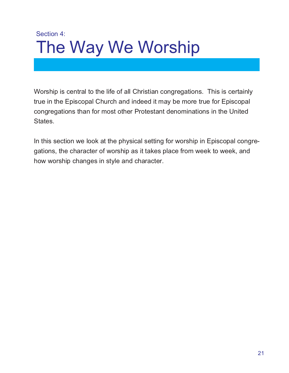## Section 4: The Way We Worship

Worship is central to the life of all Christian congregations. This is certainly true in the Episcopal Church and indeed it may be more true for Episcopal congregations than for most other Protestant denominations in the United States.

In this section we look at the physical setting for worship in Episcopal congregations, the character of worship as it takes place from week to week, and how worship changes in style and character.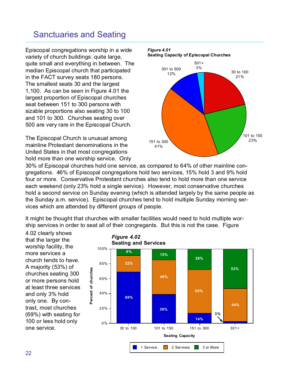## Sanctuaries and Seating

Episcopal congregations worship in a wide variety of church buildings: quite large, quite small and everything in between. The median Episcopal church that participated in the FACT survey seats 180 persons. The smallest seats 30 and the largest 1,100. As can be seen in Figure 4.01 the largest proportion of Episcopal churches seat between 151 to 300 persons with sizable proportions also seating 30 to 100 and 101 to 300. Churches seating over 500 are very rare in the Episcopal Church.

The Episcopal Church is unusual among mainline Protestant denominations in the United States in that most congregations hold more than one worship service. Only



30% of Episcopal churches hold one service, as compared to 64% of other mainline congregations. 46% of Episcopal congregations hold two services, 15% hold 3 and 9% hold four or more. Conservative Protestant churches also tend to hold more than one service each weekend (only 23% hold a single service). However, most conservative churches hold a second service on Sunday evening (which is attended largely by the same people as the Sunday a.m. service). Episcopal churches tend to hold multiple Sunday morning services which are attended by different groups of people.

It might be thought that churches with smaller facilities would need to hold multiple worship services in order to seat all of their congregants. But this is not the case. Figure

4.02 clearly shows that the larger the worship facility, the more services a church tends to have. A majority (53%) of churches seating 300 or more persons hold at least three services and only 3% hold only one. By contrast, most churches (69%) with seating for 100 or less hold only one service.

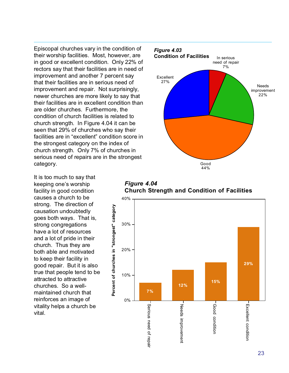Episcopal churches vary in the condition of their worship facilities. Most, however, are in good or excellent condition. Only 22% of rectors say that their facilities are in need of improvement and another 7 percent say that their facilities are in serious need of improvement and repair. Not surprisingly, newer churches are more likely to say that their facilities are in excellent condition than are older churches. Furthermore, the condition of church facilities is related to church strength. In Figure 4.04 it can be seen that 29% of churches who say their facilities are in "excellent" condition score in the strongest category on the index of church strength. Only 7% of churches in serious need of repairs are in the strongest category.

It is too much to say that keeping one's worship facility in good condition causes a church to be strong. The direction of causation undoubtedly goes both ways. That is, strong congregations have a lot of resources and a lot of pride in their church. Thus they are both able and motivated to keep their facility in good repair. But it is also true that people tend to be attracted to attractive churches. So a wellmaintained church that reinforces an image of vitality helps a church be vital.



*Figure 4.04* **Church Strength and Condition of Facilities**

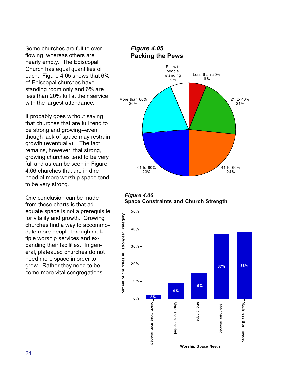Some churches are full to overflowing, whereas others are nearly empty. The Episcopal Church has equal quantities of each. Figure 4.05 shows that 6% of Episcopal churches have standing room only and 6% are less than 20% full at their service with the largest attendance.

It probably goes without saying that churches that are full tend to be strong and growing--even though lack of space may restrain growth (eventually). The fact remains, however, that strong, growing churches tend to be very full and as can be seen in Figure 4.06 churches that are in dire need of more worship space tend to be very strong.

One conclusion can be made from these charts is that adequate space is not a prerequisite for vitality and growth. Growing churches find a way to accommodate more people through multiple worship services and expanding their facilities. In general, plateaued churches do not need more space in order to grow. Rather they need to become more vital congregations.

#### *Figure 4.05* **Packing the Pews**





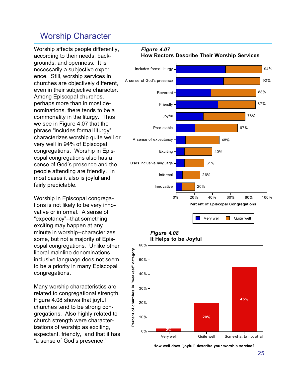### Worship Character

Worship affects people differently, according to their needs, backgrounds, and openness. It is necessarily a subjective experience. Still, worship services in churches are objectively different, even in their subjective character. Among Episcopal churches, perhaps more than in most denominations, there tends to be a commonality in the liturgy. Thus we see in Figure 4.07 that the phrase "includes formal liturgy" characterizes worship quite well or very well in 94% of Episcopal congregations. Worship in Episcopal congregations also has a sense of God's presence and the people attending are friendly. In most cases it also is joyful and fairly predictable.

Worship in Episcopal congregations is not likely to be very innovative or informal. A sense of "expectancy"--that something exciting may happen at any minute in worship--characterizes some, but not a majority of Episcopal congregations. Unlike other liberal mainline denominations, inclusive language does not seem to be a priority in many Episcopal congregations.

Many worship characteristics are related to congregational strength. Figure 4.08 shows that joyful churches tend to be strong congregations. Also highly related to church strength were characterizations of worship as exciting, expectant, friendly, and that it has "a sense of God's presence."



*Figure 4.07*







**How well does "joyful" describe your worship service?**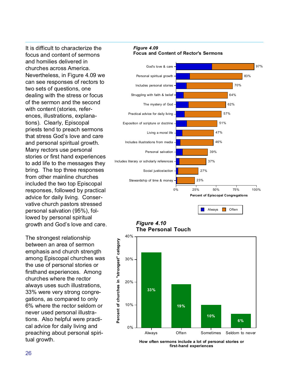It is difficult to characterize the focus and content of sermons and homilies delivered in churches across America. Nevertheless, in Figure 4.09 we can see responses of rectors to two sets of questions, one dealing with the stress or focus of the sermon and the second with content (stories, references, illustrations, explanations). Clearly, Episcopal priests tend to preach sermons that stress God's love and care and personal spiritual growth. Many rectors use personal stories or first hand experiences to add life to the messages they bring. The top three responses from other mainline churches included the two top Episcopal responses, followed by practical advice for daily living. Conservative church pastors stressed personal salvation (95%), followed by personal spiritual growth and God's love and care.

The strongest relationship between an area of sermon emphasis and church strength among Episcopal churches was the use of personal stories or firsthand experiences. Among churches where the rector always uses such illustrations, 33% were very strong congregations, as compared to only 6% where the rector seldom or never used personal illustrations. Also helpful were practical advice for daily living and preaching about personal spiritual growth.

*Figure 4.09* **Focus and Content of Rector's Sermons**



*Figure 4.10* **The Personal Touch**



**How often sermons include a lot of personal stories or first-hand experiences**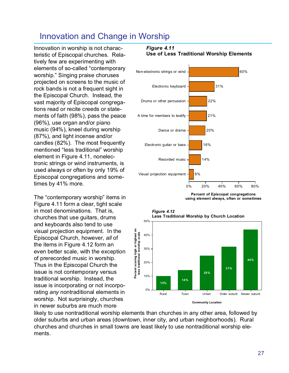## Innovation and Change in Worship

Innovation in worship is not characteristic of Episcopal churches. Relatively few are experimenting with elements of so-called "contemporary worship." Singing praise choruses projected on screens to the music of rock bands is not a frequent sight in the Episcopal Church. Instead, the vast majority of Episcopal congregations read or recite creeds or statements of faith (98%), pass the peace (96%), use organ and/or piano music (94%), kneel during worship (87%), and light incense and/or candles (82%). The most frequently mentioned "less traditional" worship element in Figure 4.11, nonelectronic strings or wind instruments, is used always or often by only 19% of Episcopal congregations and sometimes by 41% more.

The "contemporary worship" items in Figure 4.11 form a clear, tight scale in most denominations. That is, churches that use guitars, drums and keyboards also tend to use visual projection equipment. In the Episcopal Church, however, *all* of the items in Figure 4.12 form an even better scale, with the exception of prerecorded music in worship. Thus in the Episcopal Church the issue is not contemporary versus traditional worship. Instead, the issue is incorporating or not incorporating *any* nontraditional elements in worship. Not surprisingly, churches in newer suburbs are much more

#### *Figure 4.11*



#### **Use of Less Traditional Worship Elements**

**Percent of Episcopal congregations using element always, often or sometimes**



likely to use nontraditional worship elements than churches in any other area, followed by older suburbs and urban areas (downtown, inner city, and urban neighborhoods). Rural churches and churches in small towns are least likely to use nontraditional worship elements.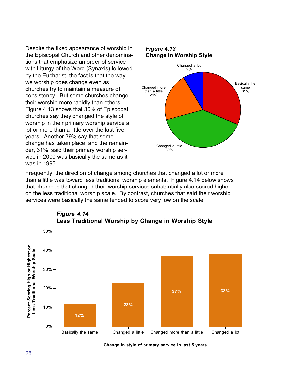Despite the fixed appearance of worship in the Episcopal Church and other denominations that emphasize an order of service with Liturgy of the Word (Synaxis) followed by the Eucharist, the fact is that the way we worship does change even as churches try to maintain a measure of consistency. But some churches change their worship more rapidly than others. Figure 4.13 shows that 30% of Episcopal churches say they changed the style of worship in their primary worship service a lot or more than a little over the last five years. Another 39% say that some change has taken place, and the remainder, 31%, said their primary worship service in 2000 was basically the same as it was in 1995.



Frequently, the direction of change among churches that changed a lot or more than a little was toward less traditional worship elements. Figure 4.14 below shows that churches that changed their worship services substantially also scored higher on the less traditional worship scale. By contrast, churches that said their worship services were basically the same tended to score very low on the scale.



#### *Figure 4.14* **Less Traditional Worship by Change in Worship Style**

**Change in style of primary service in last 5 years**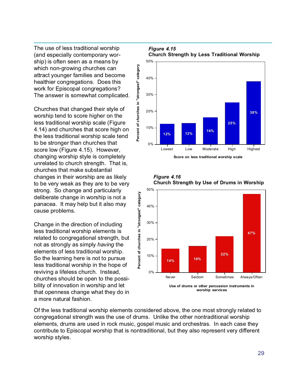The use of less traditional worship (and especially contemporary worship) is often seen as a means by which non-growing churches can attract younger families and become healthier congregations. Does this work for Episcopal congregations? The answer is somewhat complicated.

Churches that changed their style of worship tend to score higher on the less traditional worship scale (Figure 4.14) and churches that score high on the less traditional worship scale tend to be stronger than churches that score low (Figure 4.15). However, changing worship style is completely unrelated to church strength. That is, churches that make substantial changes in their worship are as likely to be very weak as they are to be very strong. So change and particularly deliberate change in worship is not a panacea. It may help but it also may cause problems.

Change in the direction of including less traditional worship elements is related to congregational strength, but not as strongly as simply *having* the elements of less traditional worship. So the learning here is not to pursue less traditional worship in the hope of reviving a lifeless church. Instead, churches should be open to the possibility of innovation in worship and let that openness change what they do in a more natural fashion.



## *Figure 4.15*

**Score on less traditional worship scale**

Lowest Low Moderate High Highest



**worship services**

*Figure 4.16* **Church Strength by Use of Drums in Worship**

Of the less traditional worship elements considered above, the one most strongly related to congregational strength was the use of drums. Unlike the other nontraditional worship elements, drums are used in rock music, gospel music and orchestras. In each case they contribute to Episcopal worship that is nontraditional, but they also represent very different worship styles.

0%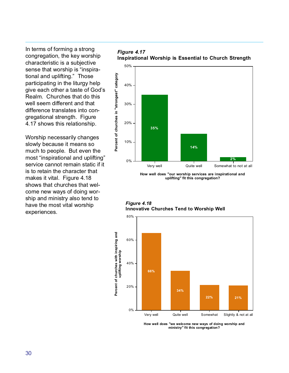In terms of forming a strong congregation, the key worship characteristic is a subjective sense that worship is "inspirational and uplifting." Those participating in the liturgy help give each other a taste of God's Realm. Churches that do this well seem different and that difference translates into congregational strength. Figure 4.17 shows this relationship.

Worship necessarily changes slowly because it means so much to people. But even the most "inspirational and uplifting" service cannot remain static if it is to retain the character that makes it vital. Figure 4.18 shows that churches that welcome new ways of doing worship and ministry also tend to have the most vital worship experiences.

#### *Figure 4.17* **Inspirational Worship is Essential to Church Strength**



**How well does "our worship services are inspirational and uplifting" fit this congregation?**





**How well does "we welcome new ways of doing worship and ministry" fit this congregation?**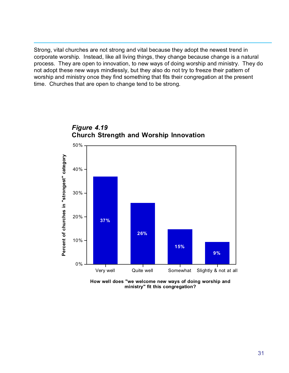Strong, vital churches are not strong and vital because they adopt the newest trend in corporate worship. Instead, like all living things, they change because change is a natural process. They are open to innovation, to new ways of doing worship and ministry. They do not adopt these new ways mindlessly, but they also do not try to freeze their pattern of worship and ministry once they find something that fits their congregation at the present time. Churches that are open to change tend to be strong.





**How well does "we welcome new ways of doing worship and ministry" fit this congregation?**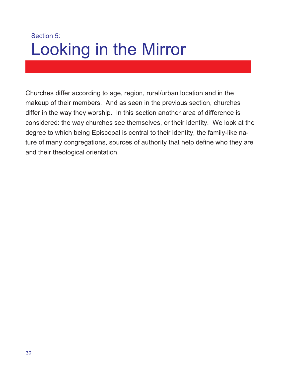## Section 5: Looking in the Mirror

Churches differ according to age, region, rural/urban location and in the makeup of their members. And as seen in the previous section, churches differ in the way they worship. In this section another area of difference is considered: the way churches see themselves, or their identity. We look at the degree to which being Episcopal is central to their identity, the family-like nature of many congregations, sources of authority that help define who they are and their theological orientation.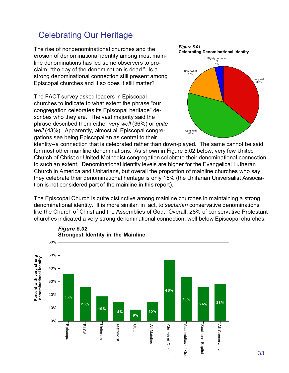## Celebrating Our Heritage

The rise of nondenominational churches and the erosion of denominational identity among most mainline denominations has led some observers to proclaim: "the day of the denomination is dead." Is a strong denominational connection still present among Episcopal churches and if so does it still matter?

The FACT survey asked leaders in Episcopal churches to indicate to what extent the phrase "our congregation celebrates its Episcopal heritage" describes who they are. The vast majority said the phrase described them either *very well* (36%) or *quite well* (43%). Apparently, almost all Episcopal congregations see being Episcopalian as central to their



identity--a connection that is celebrated rather than down-played. The same cannot be said for most other mainline denominations. As shown in Figure 5.02 below, very few United Church of Christ or United Methodist congregation celebrate their denominational connection to such an extent. Denominational identity levels are higher for the Evangelical Lutheran Church in America and Unitarians, but overall the proportion of mainline churches who say they celebrate their denominational heritage is only 15% (the Unitarian Universalist Association is not considered part of the mainline in this report).

The Episcopal Church is quite distinctive among mainline churches in maintaining a strong denominational identity. It is more similar, in fact, to *sectarian* conservative denominations like the Church of Christ and the Assemblies of God. Overall, 28% of conservative Protestant churches indicated a very strong denominational connection, well below Episcopal churches.



#### *Figure 5.02* **Strongest Identity in the Mainline**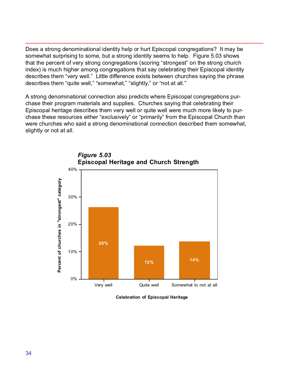Does a strong denominational identity help or hurt Episcopal congregations? It may be somewhat surprising to some, but a strong identity seems to help. Figure 5.03 shows that the percent of very strong congregations (scoring "strongest" on the strong church index) is much higher among congregations that say celebrating their Episcopal identity describes them "very well." Little difference exists between churches saying the phrase describes them "quite well," "somewhat," "slightly," or "not at all."

A strong denominational connection also predicts where Episcopal congregations purchase their program materials and supplies. Churches saying that celebrating their Episcopal heritage describes them very well or quite well were much more likely to purchase these resources either "exclusively" or "primarily" from the Episcopal Church than were churches who said a strong denominational connection described them somewhat, slightly or not at all.



**Celebration of Episcopal Heritage**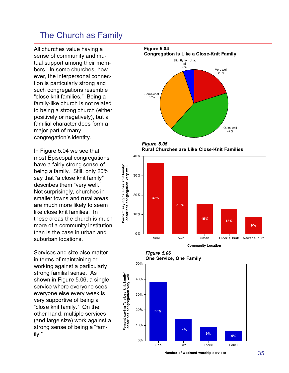### The Church as Family

All churches value having a sense of community and mutual support among their members. In some churches, however, the interpersonal connection is particularly strong and such congregations resemble "close knit families." Being a family-like church is not related to being a strong church (either positively or negatively), but a familial character does form a major part of many congregation's identity.

In Figure 5.04 we see that most Episcopal congregations have a fairly strong sense of being a family. Still, only 20% say that "a close knit family" describes them "very well." Not surprisingly, churches in smaller towns and rural areas are much more likely to seem like close knit families. In these areas the church is much more of a community institution than is the case in urban and suburban locations.

Services and size also matter in terms of maintaining or working against a particularly strong familial sense. As shown in Figure 5.06, a single service where everyone sees everyone else every week is very supportive of being a "close knit family." On the other hand, multiple services (and large size) work against a strong sense of being a "family."



*Figure 5.05* **Rural Churches are Like Close-Knit Families**



**Community Location**



50%

**Percent saying "a close knit family"**

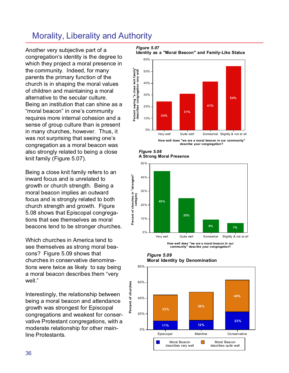## Morality, Liberality and Authority

Another very subjective part of a congregation's identity is the degree to which they project a moral presence in the community. Indeed, for many parents the primary function of the church is in shaping the moral values of children and maintaining a moral alternative to the secular culture. Being an institution that can shine as a "moral beacon" in one's community requires more internal cohesion and a sense of group culture than is present in many churches, however. Thus, it was not surprising that seeing one's congregation as a moral beacon was also strongly related to being a close knit family (Figure 5.07).

Being a close knit family refers to an inward focus and is unrelated to growth or church strength. Being a moral beacon implies an outward focus and is strongly related to both church strength and growth. Figure 5.08 shows that Episcopal congregations that see themselves as moral beacons tend to be stronger churches.

Which churches in America tend to see themselves as strong moral beacons? Figure 5.09 shows that churches in conservative denominations were twice as likely to say being a moral beacon describes them "very well."

Interestingly, the relationship between being a moral beacon and attendance growth was strongest for Episcopal congregations and weakest for conservative Protestant congregations, with a moderate relationship for other mainline Protestants.

#### *Figure 5.07*

**Identity as a "Moral Beacon" and Family-Like Status**



**describe your congregation?**

*Figure 5.08* **A Strong Moral Presence**

**Percent of churches in "strongest"**

Percent of churches in "strongest"



**How well does "we are a moral beacon in our community" describe your congregation?**

*Figure 5.09* **Moral Identity by Denomination**

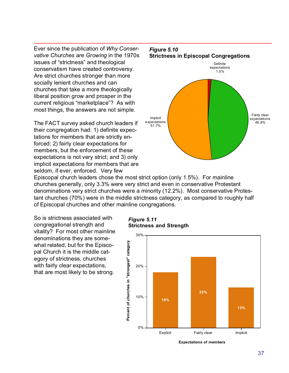Ever since the publication of *Why Conservative Churches are Growing* in the 1970s issues of "strictness" and theological conservatism have created controversy. Are strict churches stronger than more socially lenient churches and can churches that take a more theologically liberal position grow and prosper in the current religious "marketplace"? As with most things, the answers are not simple.

The FACT survey asked church leaders if their congregation had: 1) definite expectations for members that are strictly enforced; 2) fairly clear expectations for members, but the enforcement of these expectations is not very strict; and 3) only implicit expectations for members that are seldom, if ever, enforced. Very few



Episcopal church leaders chose the most strict option (only 1.5%). For mainline churches generally, only 3.3% were very strict and even in conservative Protestant denominations very strict churches were a minority (12.2%). Most conservative Protestant churches (70%) were in the middle strictness category, as compared to roughly half of Episcopal churches and other mainline congregations.

So is strictness associated with congregational strength and vitality? For most other mainline denominations they are somewhat related, but for the Episcopal Church it is the middle category of strictness, churches with fairly clear expectations, that are most likely to be strong.

*Figure 5.11* **Strictness and Strength**



**Expectations of members**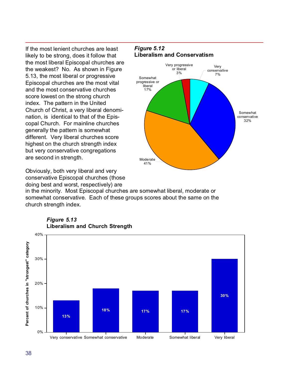If the most lenient churches are least likely to be strong, does it follow that the most liberal Episcopal churches are the weakest? No. As shown in Figure 5.13, the most liberal or progressive Episcopal churches are the most vital and the most conservative churches score lowest on the strong church index. The pattern in the United Church of Christ, a very liberal denomination, is identical to that of the Episcopal Church. For mainline churches generally the pattern is somewhat different. Very liberal churches score highest on the church strength index but very conservative congregations are second in strength.

Obviously, both very liberal and very conservative Episcopal churches (those doing best and worst, respectively) are





in the minority. Most Episcopal churches are somewhat liberal, moderate or somewhat conservative. Each of these groups scores about the same on the church strength index.



#### *Figure 5.13* **Liberalism and Church Strength**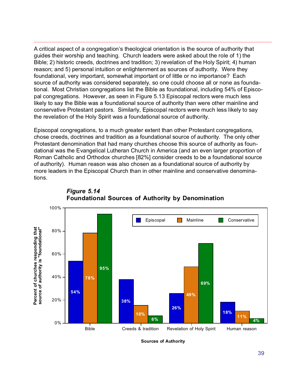A critical aspect of a congregation's theological orientation is the source of authority that guides their worship and teaching. Church leaders were asked about the role of 1) the Bible; 2) historic creeds, doctrines and tradition; 3) revelation of the Holy Spirit; 4) human reason; and 5) personal intuition or enlightenment as sources of authority. Were they foundational, very important, somewhat important or of little or no importance? Each source of authority was considered separately, so one could choose all or none as foundational. Most Christian congregations list the Bible as foundational, including 54% of Episcopal congregations. However, as seen in Figure 5.13 Episcopal rectors were much less likely to say the Bible was a foundational source of authority than were other mainline and conservative Protestant pastors. Similarly, Episcopal rectors were much less likely to say the revelation of the Holy Spirit was a foundational source of authority.

Episcopal congregations, to a much greater extent than other Protestant congregations, chose creeds, doctrines and tradition as a foundational source of authority. The only other Protestant denomination that had many churches choose this source of authority as foundational was the Evangelical Lutheran Church in America (and an even larger proportion of Roman Catholic and Orthodox churches [82%] consider creeds to be a foundational source of authority). Human reason was also chosen as a foundational source of authority by more leaders in the Episcopal Church than in other mainline and conservative denominations.



### *Figure 5.14* **Foundational Sources of Authority by Denomination**

**Sources of Authority**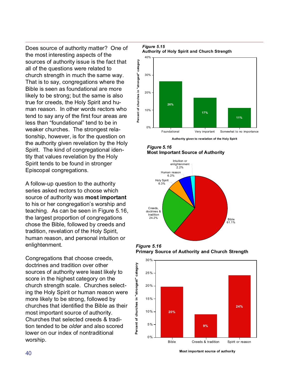Does source of authority matter? One of the most interesting aspects of the sources of authority issue is the fact that all of the questions were related to church strength in much the same way. That is to say, congregations where the Bible is seen as foundational are more likely to be strong; but the same is also true for creeds, the Holy Spirit and human reason. In other words rectors who tend to say any of the first four areas are less than "foundational" tend to be in weaker churches. The strongest relationship, however, is for the question on the authority given revelation by the Holy Spirit. The kind of congregational identity that values revelation by the Holy Spirit tends to be found in stronger Episcopal congregations.

A follow-up question to the authority series asked rectors to choose which source of authority was **most important** to his or her congregation's worship and teaching. As can be seen in Figure 5.16, the largest proportion of congregations chose the Bible, followed by creeds and tradition, revelation of the Holy Spirit, human reason, and personal intuition or enlightenment.

Congregations that choose creeds, doctrines and tradition over other sources of authority were least likely to score in the highest category on the church strength scale. Churches selecting the Holy Spirit or human reason were more likely to be strong, followed by churches that identified the Bible as their most important source of authority. Churches that selected creeds & tradition tended to be *older* and also scored lower on our index of nontraditional worship.

#### *Figure 5.15* **Authority of Holy Spirit and Church Strength**



*Figure 5.16* **Most Important Source of Authority**



*Figure 5.16* **Primary Source of Authority and Church Strength**



**Most important source of authority**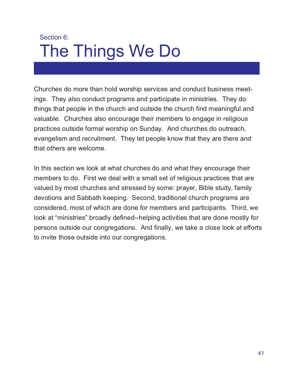# Section 6: The Things We Do

Churches do more than hold worship services and conduct business meetings. They also conduct programs and participate in ministries. They do things that people in the church and outside the church find meaningful and valuable. Churches also encourage their members to engage in religious practices outside formal worship on Sunday. And churches do outreach, evangelism and recruitment. They let people know that they are there and that others are welcome.

In this section we look at what churches do and what they encourage their members to do. First we deal with a small set of religious practices that are valued by most churches and stressed by some: prayer, Bible study, family devotions and Sabbath keeping. Second, traditional church programs are considered, most of which are done for members and participants. Third, we look at "ministries" broadly defined--helping activities that are done mostly for persons outside our congregations. And finally, we take a close look at efforts to invite those outside into our congregations.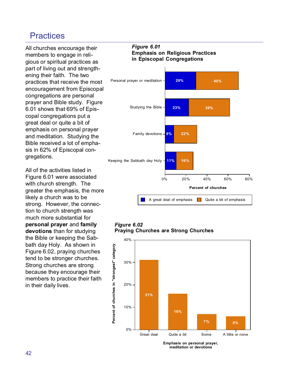## **Practices**

All churches encourage their members to engage in religious or spiritual practices as part of living out and strengthening their faith. The two practices that receive the most encouragement from Episcopal congregations are personal prayer and Bible study. Figure 6.01 shows that 69% of Episcopal congregations put a great deal or quite a bit of emphasis on personal prayer and meditation. Studying the Bible received a lot of emphasis in 62% of Episcopal congregations.

All of the activities listed in Figure 6.01 were associated with church strength. The greater the emphasis, the more likely a church was to be strong. However, the connection to church strength was much more substantial for **personal prayer** and **family devotions** than for studying the Bible or keeping the Sabbath day Holy. As shown in Figure 6.02, praying churches tend to be stronger churches. Strong churches are strong because they encourage their members to practice their faith in their daily lives.

#### *Figure 6.01* **Emphasis on Religious Practices in Episcopal Congregations**



#### *Figure 6.02* **Praying Churches are Strong Churches**



**Emphasis on personal prayer, meditation or devotions**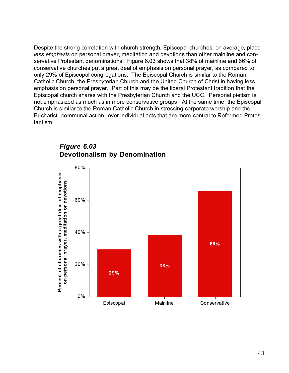Despite the strong correlation with church strength, Episcopal churches, on average, place *less emphasis* on personal prayer, meditation and devotions than other mainline and conservative Protestant denominations. Figure 6.03 shows that 38% of mainline and 66% of conservative churches put a great deal of emphasis on personal prayer, as compared to only 29% of Episcopal congregations. The Episcopal Church is similar to the Roman Catholic Church, the Presbyterian Church and the United Church of Christ in having less emphasis on personal prayer. Part of this may be the liberal Protestant tradition that the Episcopal church shares with the Presbyterian Church and the UCC. Personal pietism is not emphasized as much as in more conservative groups. At the same time, the Episcopal Church is similar to the Roman Catholic Church in stressing corporate worship and the Eucharist--communal action--over individual acts that are more central to Reformed Protestantism.



## *Figure 6.03* **Devotionalism by Denomination**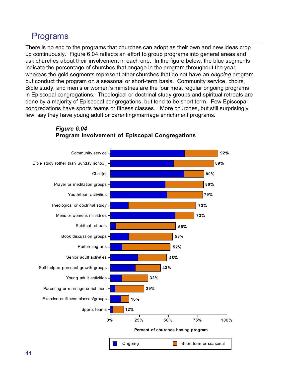# Programs

There is no end to the programs that churches can adopt as their own and new ideas crop up continuously. Figure 6.04 reflects an effort to group programs into general areas and ask churches about their involvement in each one. In the figure below, the blue segments indicate the percentage of churches that engage in the program throughout the year, whereas the gold segments represent other churches that do not have an *ongoing* program but conduct the program on a seasonal or short-term basis. Community service, choirs, Bible study, and men's or women's ministries are the four most regular ongoing programs in Episcopal congregations. Theological or doctrinal study groups and spiritual retreats are done by a majority of Episcopal congregations, but tend to be short term. Few Episcopal congregations have sports teams or fitness classes. More churches, but still surprisingly few, say they have young adult or parenting/marriage enrichment programs.



### *Figure 6.04* **Program Involvement of Episcopal Congregations**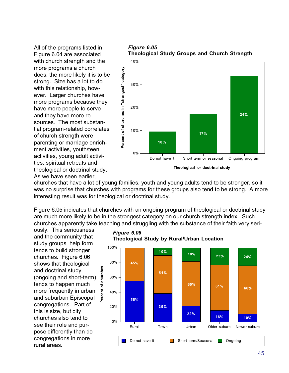All of the programs listed in Figure 6.04 are associated with church strength and the more programs a church does, the more likely it is to be strong. Size has a lot to do with this relationship, however. Larger churches have more programs because they have more people to serve and they have more resources. The most substantial program-related correlates of church strength were parenting or marriage enrichment activities, youth/teen activities, young adult activities, spiritual retreats and theological or doctrinal study. As we have seen earlier,

*Figure 6.05* **Theological Study Groups and Church Strength**



churches that have a lot of young families, youth and young adults tend to be stronger, so it was no surprise that churches with programs for these groups also tend to be strong. A more interesting result was for theological or doctrinal study.

Figure 6.05 indicates that churches with an ongoing program of theological or doctrinal study are much more likely to be in the strongest category on our church strength index. Such churches apparently take teaching and struggling with the substance of their faith very seri-

*Figure 6.06*

ously. This seriousness and the community that study groups help form tends to build stronger churches. Figure 6.06 shows that theological and doctrinal study (ongoing and short-term) tends to happen much more frequently in urban and suburban Episcopal congregations. Part of this is size, but city churches also tend to see their role and purpose differently than do congregations in more rural areas.



**Theological Study by Rural/Urban Location**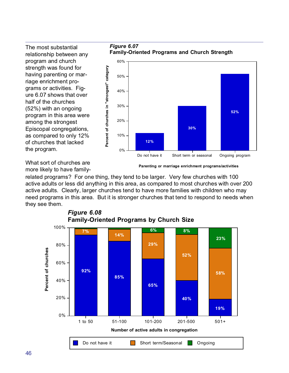The most substantial relationship between any program and church strength was found for having parenting or marriage enrichment programs or activities. Figure 6.07 shows that over half of the churches (52%) with an ongoing program in this area were among the strongest Episcopal congregations, as compared to only 12% of churches that lacked the program.



What sort of churches are more likely to have family-

**Parenting or marriage enrichment programs/activities**

related programs? For one thing, they tend to be larger. Very few churches with 100 active adults or less did anything in this area, as compared to most churches with over 200 active adults. Clearly, larger churches tend to have more families with children who may need programs in this area. But it is stronger churches that tend to respond to needs when they see them.



*Figure 6.08* **Family-Oriented Programs by Church Size**

*Figure 6.07*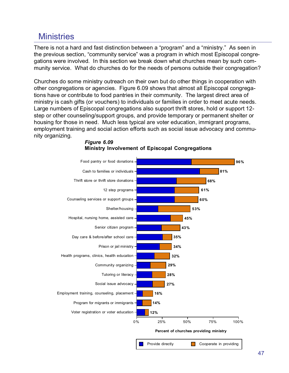## **Ministries**

There is not a hard and fast distinction between a "program" and a "ministry." As seen in the previous section, "community service" was a program in which most Episcopal congregations were involved. In this section we break down what churches mean by such community service. What do churches do for the needs of persons outside their congregation?

Churches do some ministry outreach on their own but do other things in cooperation with other congregations or agencies. Figure 6.09 shows that almost all Episcopal congregations have or contribute to food pantries in their community. The largest direct area of ministry is cash gifts (or vouchers) to individuals or families in order to meet acute needs. Large numbers of Episcopal congregations also support thrift stores, hold or support 12 step or other counseling/support groups, and provide temporary or permanent shelter or housing for those in need. Much less typical are voter education, immigrant programs, employment training and social action efforts such as social issue advocacy and community organizing.



#### *Figure 6.09* **Ministry Involvement of Episcopal Congregations**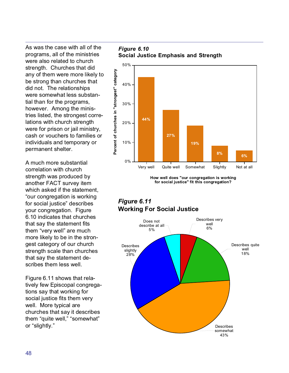As was the case with all of the programs, all of the ministries were also related to church strength. Churches that did any of them were more likely to be strong than churches that did not. The relationships were somewhat less substantial than for the programs, however. Among the ministries listed, the strongest correlations with church strength were for prison or jail ministry, cash or vouchers to families or individuals and temporary or permanent shelter.

A much more substantial correlation with church strength was produced by another FACT survey item which asked if the statement, "our congregation is working for social justice" describes your congregation. Figure 6.10 indicates that churches that say the statement fits them "very well" are much more likely to be in the strongest category of our church strength scale than churches that say the statement describes them less well.

Figure 6.11 shows that relatively few Episcopal congregations say that working for social justice fits them very well. More typical are churches that say it describes them "quite well," "somewhat" or "slightly."

*Figure 6.10* **Social Justice Emphasis and Strength**



**How well does "our congregation is working for social justice" fit this congregation?**

### *Figure 6.11* **Working For Social Justice**

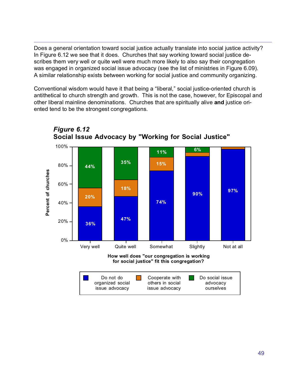Does a general orientation toward social justice actually translate into social justice activity? In Figure 6.12 we see that it does. Churches that say working toward social justice describes them very well or quite well were much more likely to also say their congregation was engaged in organized social issue advocacy (see the list of ministries in Figure 6.09). A similar relationship exists between working for social justice and community organizing.

Conventional wisdom would have it that being a "liberal," social justice-oriented church is antithetical to church strength and growth. This is not the case, however, for Episcopal and other liberal mainline denominations. Churches that are spiritually alive **and** justice oriented tend to be the strongest congregations.



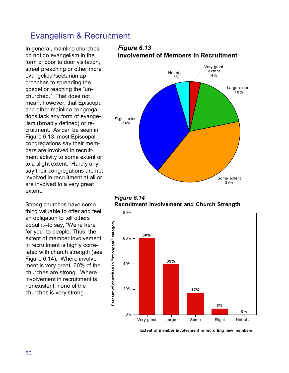## Evangelism & Recruitment

In general, mainline churches do not do evangelism in the form of door to door visitation, street preaching or other more evangelical/sectarian approaches to spreading the gospel or reaching the "unchurched." That does not mean, however, that Episcopal and other mainline congregations lack any form of evangelism (broadly defined) or recruitment. As can be seen in Figure 6.13, most Episcopal congregations say their members are involved in recruitment activity to some extent or to a slight extent. Hardly any say their congregations are not involved in recruitment at all or are involved to a very great extent.

Strong churches have something valuable to offer and feel an obligation to tell others about it--to say, "We're here for you" to people. Thus, the extent of member involvement in recruitment is highly correlated with church strength (see Figure 6.14). Where involvement is very great, 60% of the churches are strong. Where involvement in recruitment is nonexistent, none of the churches is very strong.

# Large extent 18% Some extent Slight extent 34% Not at all 5% Very great extent 4%



39%



**Extent of member involvement in recruiting new members**

#### *Figure 6.13* **Involvement of Members in Recruitment**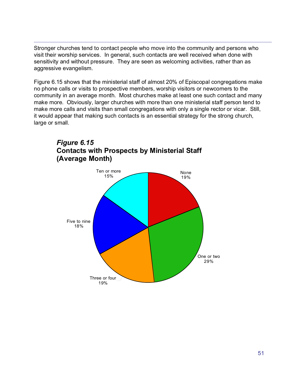Stronger churches tend to contact people who move into the community and persons who visit their worship services. In general, such contacts are well received when done with sensitivity and without pressure. They are seen as welcoming activities, rather than as aggressive evangelism.

Figure 6.15 shows that the ministerial staff of almost 20% of Episcopal congregations make no phone calls or visits to prospective members, worship visitors or newcomers to the community in an average month. Most churches make at least one such contact and many make more. Obviously, larger churches with more than one ministerial staff person tend to make more calls and visits than small congregations with only a single rector or vicar. Still, it would appear that making such contacts is an essential strategy for the strong church, large or small.



### *Figure 6.15* **Contacts with Prospects by Ministerial Staff (Average Month)**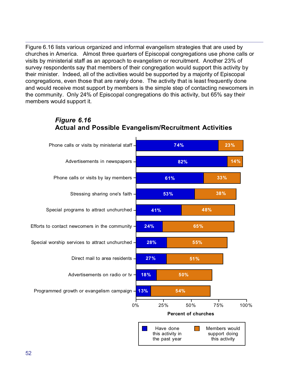Figure 6.16 lists various organized and informal evangelism strategies that are used by churches in America. Almost three quarters of Episcopal congregations use phone calls or visits by ministerial staff as an approach to evangelism or recruitment. Another 23% of survey respondents say that members of their congregation would support this activity by their minister. Indeed, all of the activities would be supported by a majority of Episcopal congregations, even those that are rarely done. The activity that is least frequently done and would receive most support by members is the simple step of contacting newcomers in the community. Only 24% of Episcopal congregations do this activity, but 65% say their members would support it.



## *Figure 6.16* **Actual and Possible Evangelism/Recruitment Activities**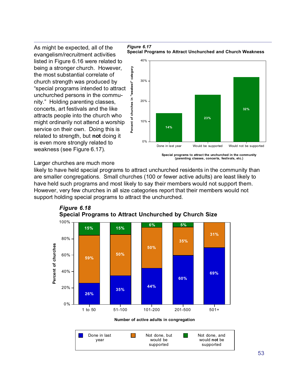evangelism/recruitment activities listed in Figure 6.16 were related to being a stronger church. However, the most substantial correlate of church strength was produced by "special programs intended to attract unchurched persons in the community." Holding parenting classes, concerts, art festivals and the like attracts people into the church who might ordinarily not attend a worship service on their own. Doing this is related to strength, but **not** doing it is even more strongly related to weakness (see Figure 6.17).





#### Larger churches are much more

likely to have held special programs to attract unchurched residents in the community than are smaller congregations. Small churches (100 or fewer active adults) are least likely to have held such programs and most likely to say their members would not support them. However, very few churches in all size categories report that their members would not support holding special programs to attract the unchurched.



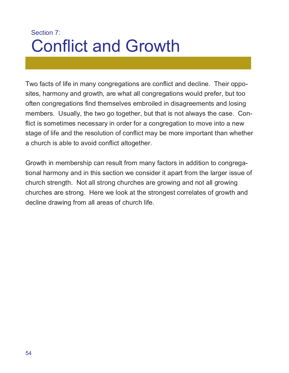# Section 7: Conflict and Growth

Two facts of life in many congregations are conflict and decline. Their opposites, harmony and growth, are what all congregations would prefer, but too often congregations find themselves embroiled in disagreements and losing members. Usually, the two go together, but that is not always the case. Conflict is sometimes necessary in order for a congregation to move into a new stage of life and the resolution of conflict may be more important than whether a church is able to avoid conflict altogether.

Growth in membership can result from many factors in addition to congregational harmony and in this section we consider it apart from the larger issue of church strength. Not all strong churches are growing and not all growing churches are strong. Here we look at the strongest correlates of growth and decline drawing from all areas of church life.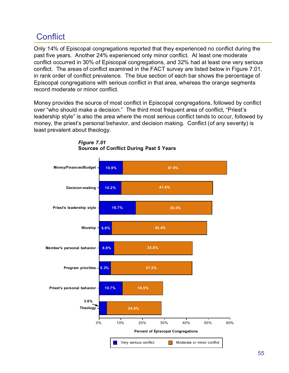# **Conflict**

Only 14% of Episcopal congregations reported that they experienced no conflict during the past five years. Another 24% experienced only minor conflict. At least one moderate conflict occurred in 30% of Episcopal congregations, and 32% had at least one very serious conflict. The areas of conflict examined in the FACT survey are listed below in Figure 7.01, in rank order of conflict prevalence. The blue section of each bar shows the percentage of Episcopal congregations with serious conflict in that area, whereas the orange segments record moderate or minor conflict.

Money provides the source of most conflict in Episcopal congregations, followed by conflict over "who should make a decision." The third most frequent area of conflict, "Priest's leadership style" is also the area where the most serious conflict tends to occur, followed by money, the priest's personal behavior, and decision making. Conflict (of any severity) is least prevalent about theology.



*Figure 7.01* **Sources of Conflict During Past 5 Years**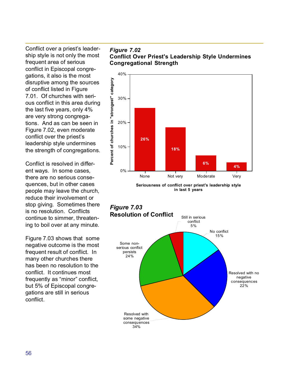Conflict over a priest's leadership style is not only the most frequent area of serious conflict in Episcopal congregations, it also is the most disruptive among the sources of conflict listed in Figure 7.01. Of churches with serious conflict in this area during the last five years, only 4% are very strong congregations. And as can be seen in Figure 7.02, even moderate conflict over the priest's leadership style undermines the strength of congregations.

Conflict is resolved in different ways. In some cases, there are no serious consequences, but in other cases people may leave the church, reduce their involvement or stop giving. Sometimes there is no resolution. Conflicts continue to simmer, threatening to boil over at any minute.

Figure 7.03 shows that some negative outcome is the most frequent result of conflict. In many other churches there has been no resolution to the conflict. It continues most frequently as "minor" conflict, but 5% of Episcopal congregations are still in serious conflict.

#### *Figure 7.02* **Conflict Over Priest's Leadership Style Undermines Congregational Strength**



**Seriousness of conflict over priest's leadership style in last 5 years**

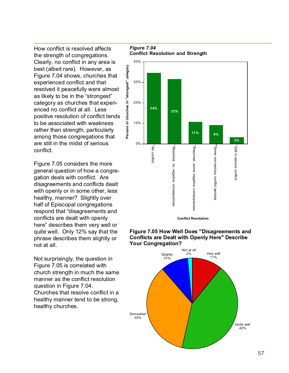How conflict is resolved affects the strength of congregations. Clearly, no conflict in any area is best (albeit rare). However, as Figure 7.04 shows, churches that experienced conflict and that resolved it peacefully were almost as likely to be in the "strongest" category as churches that experienced no conflict at all. Less positive resolution of conflict tends to be associated with weakness rather than strength, particularly among those congregations that are still in the midst of serious conflict.

Figure 7.05 considers the more general question of how a congregation deals with conflict. Are disagreements and conflicts dealt with openly or in some other, less healthy, manner? Slightly over half of Episcopal congregations respond that "disagreements and conflicts are dealt with openly here" describes them very well or quite well. Only 12% say that the phrase describes them slightly or not at all.

Not surprisingly, the question in Figure 7.05 is correlated with church strength in much the same manner as the conflict resolution question in Figure 7.04. Churches that resolve conflict in a healthy manner tend to be strong, healthy churches.

*Figure 7.04* **Conflict Resolution and Strength**





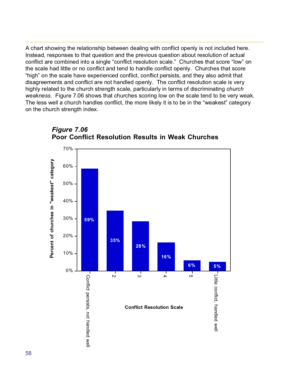A chart showing the relationship between dealing with conflict openly is not included here. Instead, responses to that question and the previous question about resolution of actual conflict are combined into a single "conflict resolution scale." Churches that score "low" on the scale had little or no conflict and tend to handle conflict openly. Churches that score "high" on the scale have experienced conflict, conflict persists, and they also admit that disagreements and conflict are not handled openly. The conflict resolution scale is very highly related to the church strength scale, particularly in terms of discriminating *church weakness.* Figure 7.06 shows that churches scoring low on the scale tend to be very weak. The less well a church handles conflict, the more likely it is to be in the "weakest" category on the church strength index.



*Figure 7.06* **Poor Conflict Resolution Results in Weak Churches**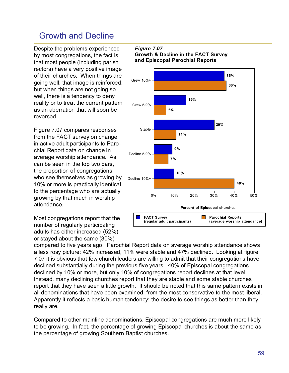# Growth and Decline

Despite the problems experienced by most congregations, the fact is that most people (including parish rectors) have a very positive image of their churches. When things are going well, that image is reinforced, but when things are not going so well, there is a tendency to deny reality or to treat the current pattern as an aberration that will soon be reversed.

Figure 7.07 compares responses from the FACT survey on change in active adult participants to Parochial Report data on change in average worship attendance. As can be seen in the top two bars, the proportion of congregations who see themselves as growing by 10% or more is practically identical to the percentage who are actually growing by that much in worship attendance.

Most congregations report that the number of regularly participating adults has either increased (52%) or stayed about the same (30%)

#### *Figure 7.07* **Growth & Decline in the FACT Survey and Episcopal Parochial Reports**



compared to five years ago. Parochial Report data on average worship attendance shows a less rosy picture: 42% increased, 11% were stable and 47% declined. Looking at figure 7.07 it is obvious that few church leaders are willing to admit that their congregations have declined substantially during the previous five years. 40% of Episcopal congregations declined by 10% or more, but only 10% of congregations report declines at that level. Instead, many declining churches report that they are stable and some stable churches report that they have seen a little growth. It should be noted that this same pattern exists in all denominations that have been examined, from the most conservative to the most liberal. Apparently it reflects a basic human tendency: the desire to see things as better than they really are.

Compared to other mainline denominations, Episcopal congregations are much more likely to be growing. In fact, the percentage of growing Episcopal churches is about the same as the percentage of growing Southern Baptist churches.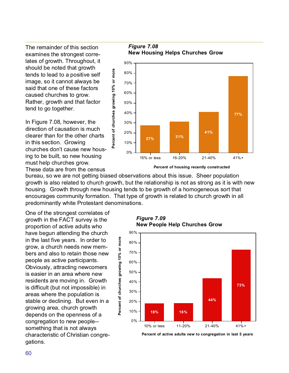The remainder of this section examines the strongest correlates of growth. Throughout, it should be noted that growth tends to lead to a positive self image, so it cannot always be said that one of these factors caused churches to grow. Rather, growth and that factor tend to go together.

In Figure 7.08, however, the direction of causation is much clearer than for the other charts in this section. Growing churches don't cause new housing to be built, so new housing must help churches grow.

These data are from the census

bureau, so we are not getting biased observations about this issue. Sheer population growth is also related to church growth, but the relationship is not as strong as it is with new housing. Growth through new housing tends to be growth of a homogeneous sort that encourages community formation. That type of growth is related to church growth in all predominantly white Protestant denominations.

**Percent of churches growing 10% or more**

Percent of churches growing 10% or more

**Percent of churches growing 10% or more**

Percent of churches growing 10% or more

One of the strongest correlates of growth in the FACT survey is the proportion of active adults who have begun attending the church in the last five years. In order to grow, a church needs new members and also to retain those new people as active participants. Obviously, attracting newcomers is easier in an area where new residents are moving in. Growth is difficult (but not impossible) in areas where the population is stable or declining. But even in a growing area, church growth depends on the openness of a congregation to new people- something that is not always characteristic of Christian congregations.

*Figure 7.09* **New People Help Churches Grow** 



**Percent of active adults new to congregation in last 5 years**

*Figure 7.08* **New Housing Helps Churches Grow** 



**Percent of housing recently constructed**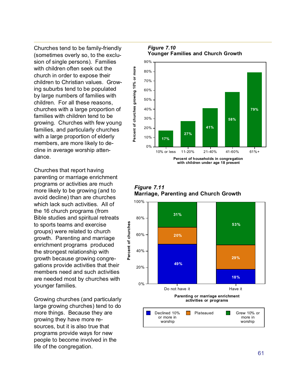Churches tend to be family-friendly (sometimes overly so, to the exclusion of single persons). Families with children often seek out the church in order to expose their children to Christian values. Growing suburbs tend to be populated by large numbers of families with children. For all these reasons, churches with a large proportion of families with children tend to be growing. Churches with few young families, and particularly churches with a large proportion of elderly members, are more likely to decline in average worship attendance.

Churches that report having parenting or marriage enrichment programs or activities are much more likely to be growing (and to avoid decline) than are churches which lack such activities. All of the 16 church programs (from Bible studies and spiritual retreats to sports teams and exercise groups) were related to church growth. Parenting and marriage enrichment programs produced the strongest relationship with growth because growing congregations provide activities that their members need and such activities are needed most by churches with younger families.

Growing churches (and particularly large growing churches) tend to do more things. Because they are growing they have more resources, but it is also true that programs provide ways for new people to become involved in the life of the congregation.

*Figure 7.10* **Younger Families and Church Growth** 



*Figure 7.11* **Marriage, Parenting and Church Growth**

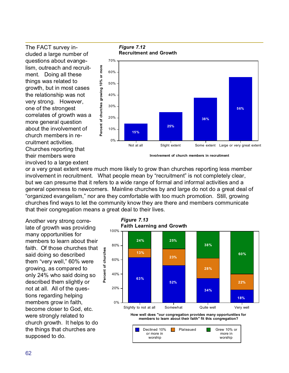The FACT survey included a large number of questions about evangelism, outreach and recruitment. Doing all these things was related to growth, but in most cases the relationship was not very strong. However, one of the strongest correlates of growth was a more general question about the involvement of church members in recruitment activities. Churches reporting that their members were involved to a large extent



*Figure 7.12* **Recruitment and Growth**

**Involvement of church members in recruitment**

or a very great extent were much more likely to grow than churches reporting less member involvement in recruitment. What people mean by "recruitment" is not completely clear, but we can presume that it refers to a wide range of formal and informal activities and a general openness to newcomers. Mainline churches by and large do not do a great deal of "organized evangelism," nor are they comfortable with too much promotion. Still, growing churches find ways to let the community know they are there and members communicate that their congregation means a great deal to their lives.

Another very strong correlate of growth was providing many opportunities for members to learn about their faith. Of those churches that said doing so described them "very well," 60% were growing, as compared to only 24% who said doing so described them slightly or not at all. All of the questions regarding helping members grow in faith, become closer to God, etc. were strongly related to church growth. It helps to do the things that churches are supposed to do.



*Figure 7.13*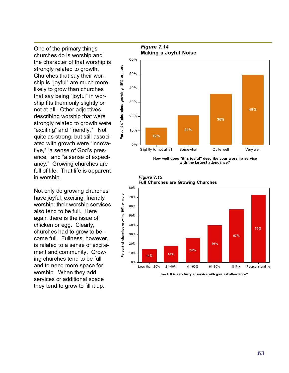One of the primary things churches do is worship and the character of that worship is strongly related to growth. Churches that say their worship is "joyful" are much more likely to grow than churches that say being "joyful" in worship fits them only slightly or not at all. Other adjectives describing worship that were strongly related to growth were "exciting" and "friendly." Not quite as strong, but still associated with growth were "innovative," "a sense of God's presence," and "a sense of expectancy." Growing churches are full of life. That life is apparent in worship.

Not only do growing churches have joyful, exciting, friendly worship; their worship services also tend to be full. Here again there is the issue of chicken or egg. Clearly, churches had to grow to become full. Fullness, however, is related to a sense of excitement and community. Growing churches tend to be full and to need more space for worship. When they add services or additional space they tend to grow to fill it up.



**How well does "it is joyful" describe your worship service with the largest attendance?**





**How full is sanctuary at service with greatest attendance?**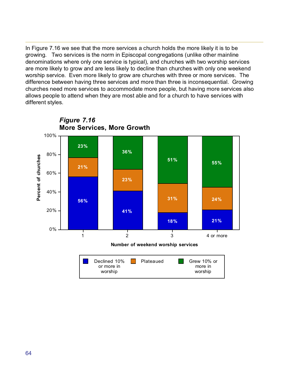In Figure 7.16 we see that the more services a church holds the more likely it is to be growing. Two services is the norm in Episcopal congregations (unlike other mainline denominations where only one service is typical), and churches with two worship services are more likely to grow and are less likely to decline than churches with only one weekend worship service. Even more likely to grow are churches with three or more services. The difference between having three services and more than three is inconsequential. Growing churches need more services to accommodate more people, but having more services also allows people to attend when they are most able and for a church to have services with different styles.

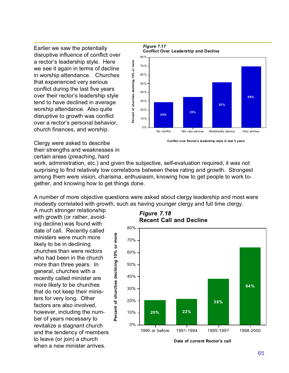Earlier we saw the potentially disruptive influence of conflict over a rector's leadership style. Here we see it again in terms of decline in worship attendance. Churches that experienced very serious conflict during the last five years over their rector's leadership style tend to have declined in average worship attendance. Also quite disruptive to growth was conflict over a rector's personal behavior, church finances, and worship.



**Conflict over Rector's leadership style in last 5 years**

Clergy were asked to describe their strengths and weaknesses in certain areas (preaching, hard

work, administration, etc.) and given the subjective, self-evaluation required, it was not surprising to find relatively low correlations between these rating and growth. Strongest among them were vision, charisma, enthusiasm, knowing how to get people to work together, and knowing how to get things done.

A number of more objective questions were asked about clergy leadership and most were modestly correlated with growth, such as having younger clergy and full time clergy.

A much stronger relationship with growth (or rather, avoiding decline) was found with date of call. Recently called ministers were much more likely to be in declining churches than were rectors who had been in the church more than three years. In general, churches with a recently called minister are more likely to be churches that do not keep their ministers for very long. Other factors are also involved, however, including the number of years necessary to revitalize a stagnant church and the tendency of members to leave (or join) a church when a new minister arrives.

**Percent of churches declining 10% or more**

Percent of churches declining 10% or more



*Figure 7.18*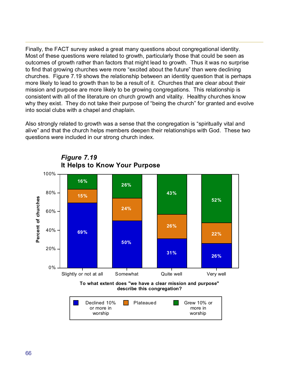Finally, the FACT survey asked a great many questions about congregational identity. Most of these questions were related to growth, particularly those that could be seen as outcomes of growth rather than factors that might lead to growth. Thus it was no surprise to find that growing churches were more "excited about the future" than were declining churches. Figure 7.19 shows the relationship between an identity question that is perhaps more likely to lead to growth than to be a result of it. Churches that are clear about their mission and purpose are more likely to be growing congregations. This relationship is consistent with all of the literature on church growth and vitality. Healthy churches know why they exist. They do not take their purpose of "being the church" for granted and evolve into social clubs with a chapel and chaplain.

Also strongly related to growth was a sense that the congregation is "spiritually vital and alive" and that the church helps members deepen their relationships with God. These two questions were included in our strong church index.



*Figure 7.19* **It Helps to Know Your Purpose**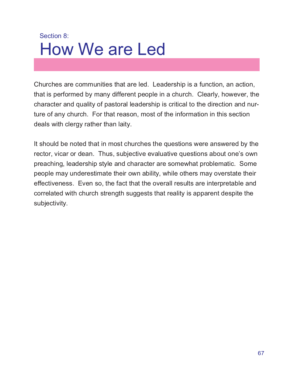# Section 8: How We are Led

Churches are communities that are led. Leadership is a function, an action, that is performed by many different people in a church. Clearly, however, the character and quality of pastoral leadership is critical to the direction and nurture of any church. For that reason, most of the information in this section deals with clergy rather than laity.

It should be noted that in most churches the questions were answered by the rector, vicar or dean. Thus, subjective evaluative questions about one's own preaching, leadership style and character are somewhat problematic. Some people may underestimate their own ability, while others may overstate their effectiveness. Even so, the fact that the overall results are interpretable and correlated with church strength suggests that reality is apparent despite the subjectivity.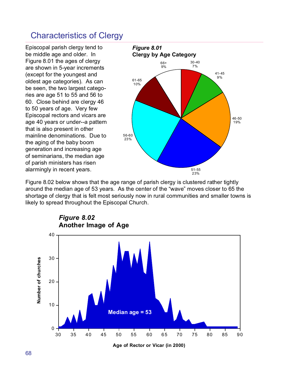## Characteristics of Clergy

Episcopal parish clergy tend to be middle age and older. In Figure 8.01 the ages of clergy are shown in 5-year increments (except for the youngest and oldest age categories). As can be seen, the two largest categories are age 51 to 55 and 56 to 60. Close behind are clergy 46 to 50 years of age. Very few Episcopal rectors and vicars are age 40 years or under--a pattern that is also present in other mainline denominations. Due to the aging of the baby boom generation and increasing age of seminarians, the median age of parish ministers has risen alarmingly in recent years.



Figure 8.02 below shows that the age range of parish clergy is clustered rather tightly around the median age of 53 years. As the center of the "wave" moves closer to 65 the shortage of clergy that is felt most seriously now in rural communities and smaller towns is likely to spread throughout the Episcopal Church.



**Age of Rector or Vicar (in 2000)**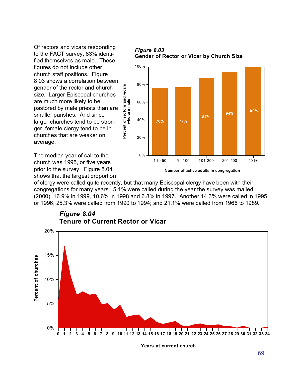Of rectors and vicars responding to the FACT survey, 83% identified themselves as male. These figures do not include other church staff positions. Figure 8.03 shows a correlation between gender of the rector and church size. Larger Episcopal churches are much more likely to be pastored by male priests than are smaller parishes. And since larger churches tend to be stronger, female clergy tend to be in churches that are weaker on average.

The median year of call to the church was 1995, or five years prior to the survey. Figure 8.04 shows that the largest proportion





**Number of active adults in congregation**

of clergy were called quite recently, but that many Episcopal clergy have been with their congregations for many years. 5.1% were called during the year the survey was mailed (2000), 16.9% in 1999, 10.6% in 1998 and 6.8% in 1997. Another 14.3% were called in 1995 or 1996; 25.3% were called from 1990 to 1994; and 21.1% were called from 1966 to 1989.

**Percent of rectors and vicars who are male**

Percent of rectors and vicars<br>who are male



**Years at current church**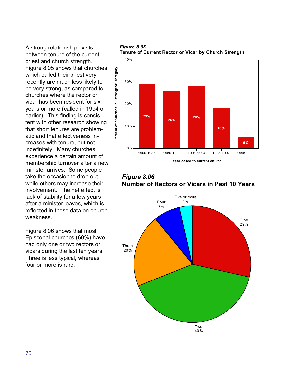A strong relationship exists between tenure of the current priest and church strength. Figure 8.05 shows that churches which called their priest very recently are much less likely to be very strong, as compared to churches where the rector or vicar has been resident for six years or more (called in 1994 or earlier). This finding is consistent with other research showing that short tenures are problematic and that effectiveness increases with tenure, but not indefinitely. Many churches experience a certain amount of membership turnover after a new minister arrives. Some people take the occasion to drop out, while others may increase their involvement. The net effect is lack of stability for a few years after a minister leaves, which is reflected in these data on church weakness.

Figure 8.06 shows that most Episcopal churches (69%) have had only one or two rectors or vicars during the last ten years. Three is less typical, whereas four or more is rare.

*Figure 8.05* **Tenure of Current Rector or Vicar by Church Strength**



*Figure 8.06* **Number of Rectors or Vicars in Past 10 Years**

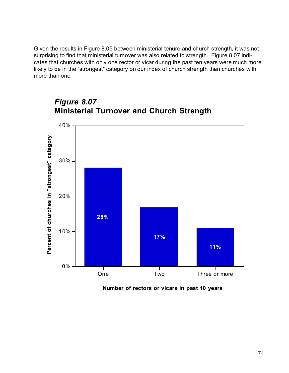Given the results in Figure 8.05 between ministerial tenure and church strength, it was not surprising to find that ministerial turnover was also related to strength. Figure 8.07 indicates that churches with only one rector or vicar during the past ten years were much more likely to be in the "strongest" category on our index of church strength than churches with more than one.



## *Figure 8.07* **Ministerial Turnover and Church Strength**

**Number of rectors or vicars in past 10 years**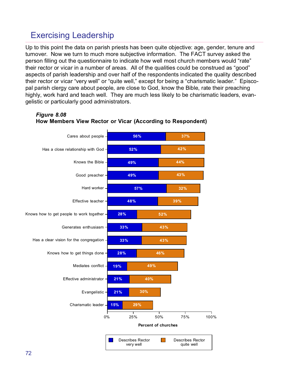# Exercising Leadership

Up to this point the data on parish priests has been quite objective: age, gender, tenure and turnover. Now we turn to much more subjective information. The FACT survey asked the person filling out the questionnaire to indicate how well most church members would "rate" their rector or vicar in a number of areas. All of the qualities could be construed as "good" aspects of parish leadership and over half of the respondents indicated the quality described their rector or vicar "very well" or "quite well," except for being a "charismatic leader." Episcopal parish clergy care about people, are close to God, know the Bible, rate their preaching highly, work hard and teach well. They are much less likely to be charismatic leaders, evangelistic or particularly good administrators.



#### *Figure 8.08* **How Members View Rector or Vicar (According to Respondent)**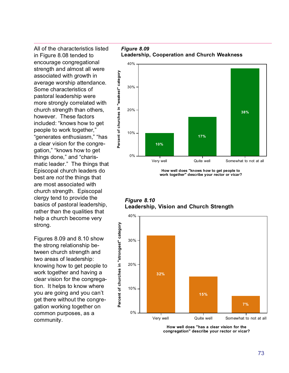All of the characteristics listed in Figure 8.08 tended to encourage congregational strength and almost all were associated with growth in average worship attendance. Some characteristics of pastoral leadership were more strongly correlated with church strength than others, however. These factors included: "knows how to get people to work together," "generates enthusiasm," "has a clear vision for the congregation," "knows how to get things done," and "charismatic leader." The things that Episcopal church leaders do best are *not* the things that are most associated with church strength. Episcopal clergy tend to provide the basics of pastoral leadership, rather than the qualities that help a church become very strong.

Figures 8.09 and 8.10 show the strong relationship between church strength and two areas of leadership: knowing how to get people to work together and having a clear vision for the congregation. It helps to know where you are going and you can't get there without the congregation working together on common purposes, as a community.

*Figure 8.09* **Leadership, Cooperation and Church Weakness**



**How well does "knows how to get people to work together" describe your rector or vicar?**

*Figure 8.10* **Leadership, Vision and Church Strength**



**How well does "has a clear vision for the congregation" describe your rector or vicar?**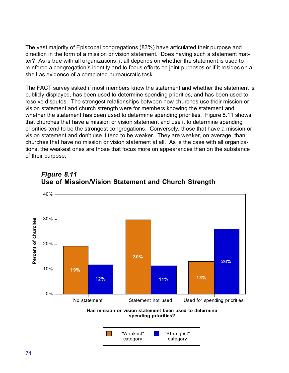The vast majority of Episcopal congregations (83%) have articulated their purpose and direction in the form of a mission or vision statement. Does having such a statement matter? As is true with all organizations, it all depends on whether the statement is used to reinforce a congregation's identity and to focus efforts on joint purposes or if it resides on a shelf as evidence of a completed bureaucratic task.

The FACT survey asked if most members know the statement and whether the statement is publicly displayed, has been used to determine spending priorities, and has been used to resolve disputes. The strongest relationships between how churches use their mission or vision statement and church strength were for members knowing the statement and whether the statement has been used to determine spending priorities. Figure 8.11 shows that churches that have a mission or vision statement and use it to determine spending priorities tend to be the strongest congregations. Conversely, those that have a mission or vision statement and don't use it tend to be weaker. They are weaker, on average, than churches that have no mission or vision statement at all. As is the case with all organizations, the weakest ones are those that focus more on appearances than on the substance of their purpose.



#### *Figure 8.11* **Use of Mission/Vision Statement and Church Strength**

**Has mission or vision statement been used to determine spending priorities?**

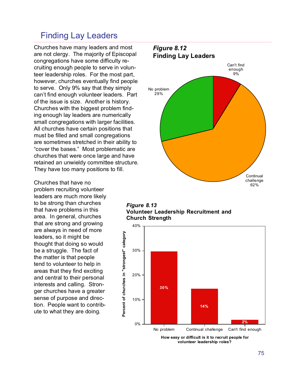#### Finding Lay Leaders

Churches have many leaders and most are not clergy. The majority of Episcopal congregations have some difficulty recruiting enough people to serve in volunteer leadership roles. For the most part, however, churches eventually find people to serve. Only 9% say that they simply can't find enough volunteer leaders. Part of the issue is size. Another is history. Churches with the biggest problem finding enough lay leaders are numerically small congregations with larger facilities. All churches have certain positions that must be filled and small congregations are sometimes stretched in their ability to "cover the bases." Most problematic are churches that were once large and have retained an unwieldy committee structure. They have too many positions to fill.

Churches that have no problem recruiting volunteer leaders are much more likely to be strong than churches that have problems in this area. In general, churches that are strong and growing are always in need of more leaders, so it might be thought that doing so would be a struggle. The fact of the matter is that people tend to volunteer to help in areas that they find exciting and central to their personal interests and calling. Stronger churches have a greater sense of purpose and direction. People want to contribute to what they are doing.



*Figure 8.13* **Volunteer Leadership Recruitment and Church Strength**



**How easy or difficult is it to recruit people for volunteer leadership roles?**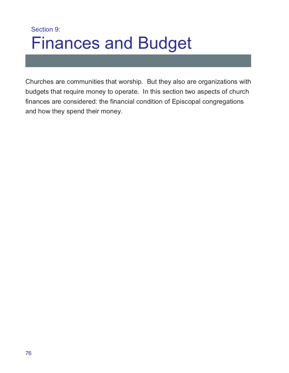## Section 9: Finances and Budget

Churches are communities that worship. But they also are organizations with budgets that require money to operate. In this section two aspects of church finances are considered: the financial condition of Episcopal congregations and how they spend their money.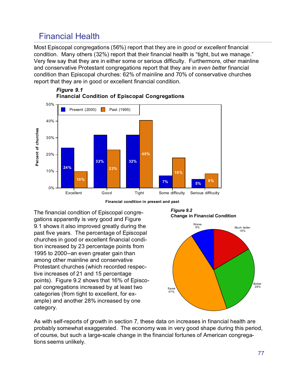### Financial Health

Most Episcopal congregations (56%) report that they are in *good* or *excellent* financial condition. Many others (32%) report that their financial health is "tight, but we manage." Very few say that they are in either some or serious difficulty. Furthermore, other mainline and conservative Protestant congregations report that they are in *even better* financial condition than Episcopal churches: 62% of mainline and 70% of conservative churches report that they are in good or excellent financial condition.



*Figure 9.1* **Financial Condition of Episcopal Congregations**



The financial condition of Episcopal congregations apparently is very good and Figure 9.1 shows it also improved greatly during the past five years. The percentage of Episcopal churches in good or excellent financial condition increased by 23 percentage points from 1995 to 2000--an even greater gain than among other mainline and conservative Protestant churches (which recorded respective increases of 21 and 15 percentage points). Figure 9.2 shows that 16% of Episcopal congregations increased by at least two categories (from tight to excellent, for example) and another 28% increased by one category.

*Figure 9.2* **Change in Financial Condition**



As with self-reports of growth in section 7, these data on increases in financial health are probably somewhat exaggerated. The economy was in very good shape during this period, of course, but such a large-scale change in the financial fortunes of American congregations seems unlikely.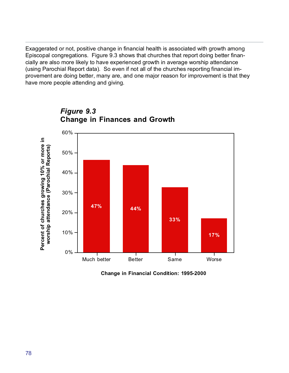Exaggerated or not, positive change in financial health is associated with growth among Episcopal congregations. Figure 9.3 shows that churches that report doing better financially are also more likely to have experienced growth in average worship attendance (using Parochial Report data). So even if not all of the churches reporting financial improvement are doing better, many are, and one major reason for improvement is that they have more people attending and giving.



*Figure 9.3* **Change in Finances and Growth**

**Change in Financial Condition: 1995-2000**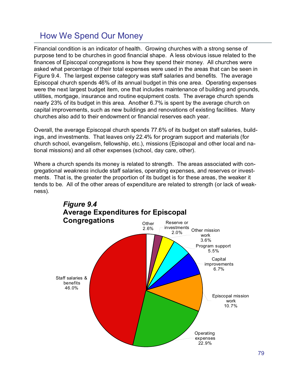### How We Spend Our Money

Financial condition is an indicator of health. Growing churches with a strong sense of purpose tend to be churches in good financial shape. A less obvious issue related to the finances of Episcopal congregations is how they spend their money. All churches were asked what percentage of their total expenses were used in the areas that can be seen in Figure 9.4. The largest expense category was staff salaries and benefits. The average Episcopal church spends 46% of its annual budget in this one area. Operating expenses were the next largest budget item, one that includes maintenance of building and grounds, utilities, mortgage, insurance and routine equipment costs. The average church spends nearly 23% of its budget in this area. Another 6.7% is spent by the average church on capital improvements, such as new buildings and renovations of existing facilities. Many churches also add to their endowment or financial reserves each year.

Overall, the average Episcopal church spends 77.6% of its budget on staff salaries, buildings, and investments. That leaves only 22.4% for program support and materials (for church school, evangelism, fellowship, etc.), missions (Episcopal and other local and national missions) and all other expenses (school, day care, other).

Where a church spends its money is related to strength. The areas associated with congregational *weakness* include staff salaries, operating expenses, and reserves or investments. That is, the greater the proportion of its budget is for these areas, the weaker it tends to be. All of the other areas of expenditure are related to strength (or lack of weakness).

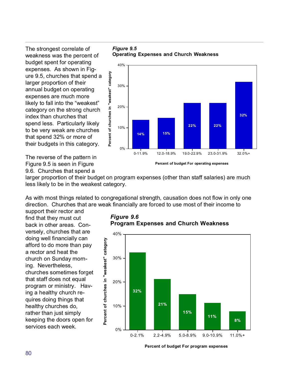The strongest correlate of weakness was the percent of budget spent for operating expenses. As shown in Figure 9.5, churches that spend a larger proportion of their annual budget on operating expenses are much more likely to fall into the "weakest" category on the strong church index than churches that spend less. Particularly likely to be very weak are churches that spend 32% or more of their budgets in this category.

The reverse of the pattern in Figure 9.5 is seen in Figure 9.6. Churches that spend a

*Figure 9.5* **Operating Expenses and Church Weakness**



**Percent of budget For operating expenses**

larger proportion of their budget on program expenses (other than staff salaries) are much less likely to be in the weakest category.

**Percent of churches in "weakest" category**

Percent of churches in "weakest" category

As with most things related to congregational strength, causation does not flow in only one direction. Churches that are weak financially are forced to use most of their income to

support their rector and find that they must cut back in other areas. Conversely, churches that are doing well financially can afford to do more than pay a rector and heat the church on Sunday morning. Nevertheless, churches sometimes forget that staff does not equal program or ministry. Having a healthy church requires doing things that healthy churches do, rather than just simply keeping the doors open for services each week.



*Figure 9.6* **Program Expenses and Church Weakness**

**Percent of budget For program expenses**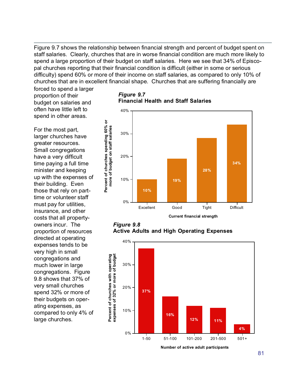Figure 9.7 shows the relationship between financial strength and percent of budget spent on staff salaries. Clearly, churches that are in worse financial condition are much more likely to spend a large proportion of their budget on staff salaries. Here we see that 34% of Episcopal churches reporting that their financial condition is difficult (either in some or serious difficulty) spend 60% or more of their income on staff salaries, as compared to only 10% of churches that are in excellent financial shape. Churches that are suffering financially are

forced to spend a larger proportion of their budget on salaries and often have little left to spend in other areas.

For the most part, larger churches have greater resources. Small congregations have a very difficult time paying a full time minister and keeping up with the expenses of their building. Even those that rely on parttime or volunteer staff must pay for utilities, insurance, and other costs that all propertyowners incur. The proportion of resources directed at operating expenses tends to be very high in small congregations and much lower in large congregations. Figure 9.8 shows that 37% of very small churches spend 32% or more of their budgets on operating expenses, as compared to only 4% of large churches.

*Figure 9.7* **Financial Health and Staff Salaries**



*Figure 9.8* **Active Adults and High Operating Expenses**



**Number of active adult participants**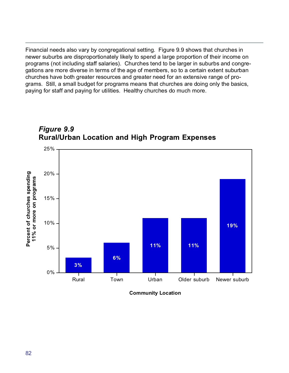Financial needs also vary by congregational setting. Figure 9.9 shows that churches in newer suburbs are disproportionately likely to spend a large proportion of their income on programs (not including staff salaries). Churches tend to be larger in suburbs and congregations are more diverse in terms of the age of members, so to a certain extent suburban churches have both greater resources and greater need for an extensive range of programs. Still, a small budget for programs means that churches are doing only the basics, paying for staff and paying for utilities. Healthy churches do much more.





**Community Location**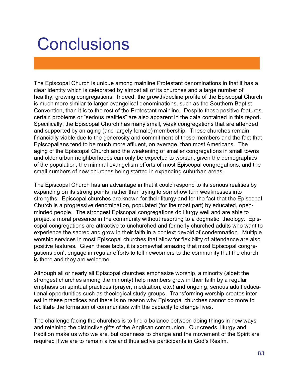# **Conclusions**

The Episcopal Church is unique among mainline Protestant denominations in that it has a clear identity which is celebrated by almost all of its churches and a large number of healthy, growing congregations. Indeed, the growth/decline profile of the Episcopal Church is much more similar to larger evangelical denominations, such as the Southern Baptist Convention, than it is to the rest of the Protestant mainline. Despite these positive features, certain problems or "serious realities" are also apparent in the data contained in this report. Specifically, the Episcopal Church has many small, weak congregations that are attended and supported by an aging (and largely female) membership. These churches remain financially viable due to the generosity and commitment of these members and the fact that Episcopalians tend to be much more affluent, on average, than most Americans. The aging of the Episcopal Church and the weakening of smaller congregations in small towns and older urban neighborhoods can only be expected to worsen, given the demographics of the population, the minimal evangelism efforts of most Episcopal congregations, and the small numbers of new churches being started in expanding suburban areas.

The Episcopal Church has an advantage in that it could respond to its serious realities by expanding on its strong points, rather than trying to somehow turn weaknesses into strengths. Episcopal churches are known for their liturgy and for the fact that the Episcopal Church is a progressive denomination, populated (for the most part) by educated, openminded people. The strongest Episcopal congregations do liturgy well and are able to project a moral presence in the community without resorting to a dogmatic theology. Episcopal congregations are attractive to unchurched and formerly churched adults who want to experience the sacred and grow in their faith in a context devoid of condemnation. Multiple worship services in most Episcopal churches that allow for flexibility of attendance are also positive features. Given these facts, it is somewhat amazing that most Episcopal congregations don't engage in regular efforts to tell newcomers to the community that the church is there and they are welcome.

Although all or nearly all Episcopal churches emphasize worship, a minority (albeit the strongest churches among the minority) help members grow in their faith by a regular emphasis on spiritual practices (prayer, meditation, etc.) and ongoing, serious adult educational opportunities such as theological study groups. Transforming worship creates interest in these practices and there is no reason why Episcopal churches cannot do more to facilitate the formation of communities with the capacity to change lives.

The challenge facing the churches is to find a balance between doing things in new ways and retaining the distinctive gifts of the Anglican communion. Our creeds, liturgy and tradition make us who we are, but openness to change and the movement of the Spirit are required if we are to remain alive and thus active participants in God's Realm.